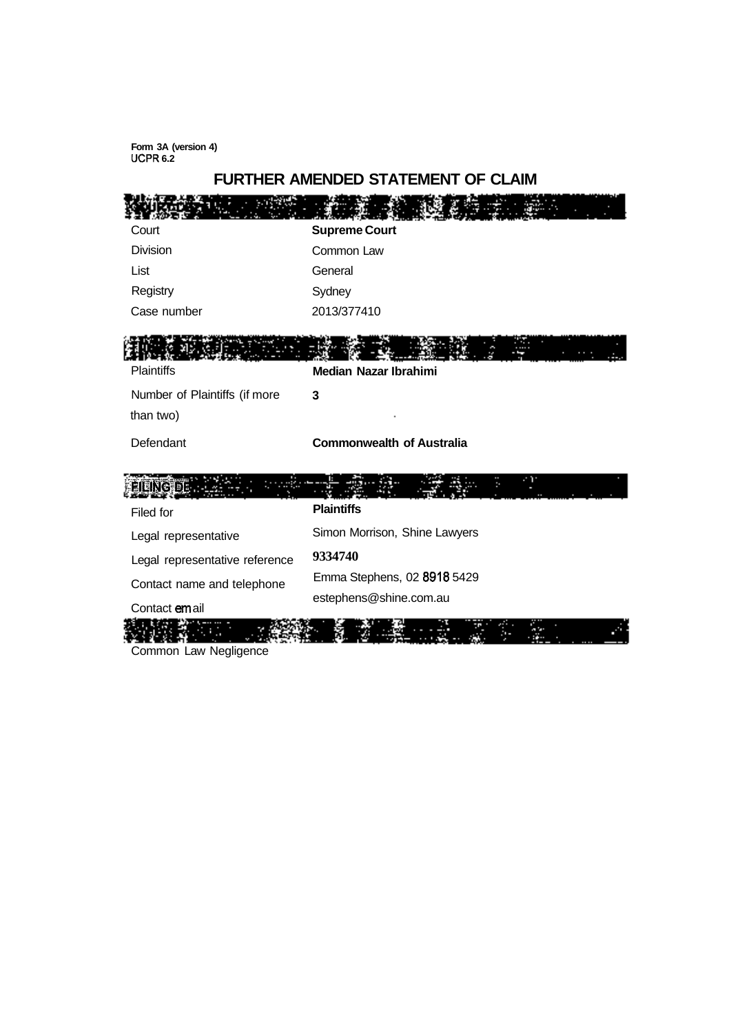**Form 3A (version 4) UCPR 6.2** 

# **FURTHER AMENDED STATEMENT OF CLAIM**

| Court                          | <b>Supreme Court</b>             |  |  |
|--------------------------------|----------------------------------|--|--|
| <b>Division</b>                | Common Law                       |  |  |
| List                           | General                          |  |  |
| Registry                       | Sydney                           |  |  |
| Case number                    | 2013/377410                      |  |  |
|                                |                                  |  |  |
| <b>Plaintiffs</b>              | <b>Median Nazar Ibrahimi</b>     |  |  |
| Number of Plaintiffs (if more  | 3                                |  |  |
| than two)                      |                                  |  |  |
| Defendant                      | <b>Commonwealth of Australia</b> |  |  |
| NGB915.                        |                                  |  |  |
| Filed for                      | <b>Plaintiffs</b>                |  |  |
| Legal representative           | Simon Morrison, Shine Lawyers    |  |  |
| Legal representative reference | 9334740                          |  |  |
| Contact name and telephone     | Emma Stephens, 02 8918 5429      |  |  |
| Contact email                  | estephens@shine.com.au           |  |  |
| Common Law Negligence          |                                  |  |  |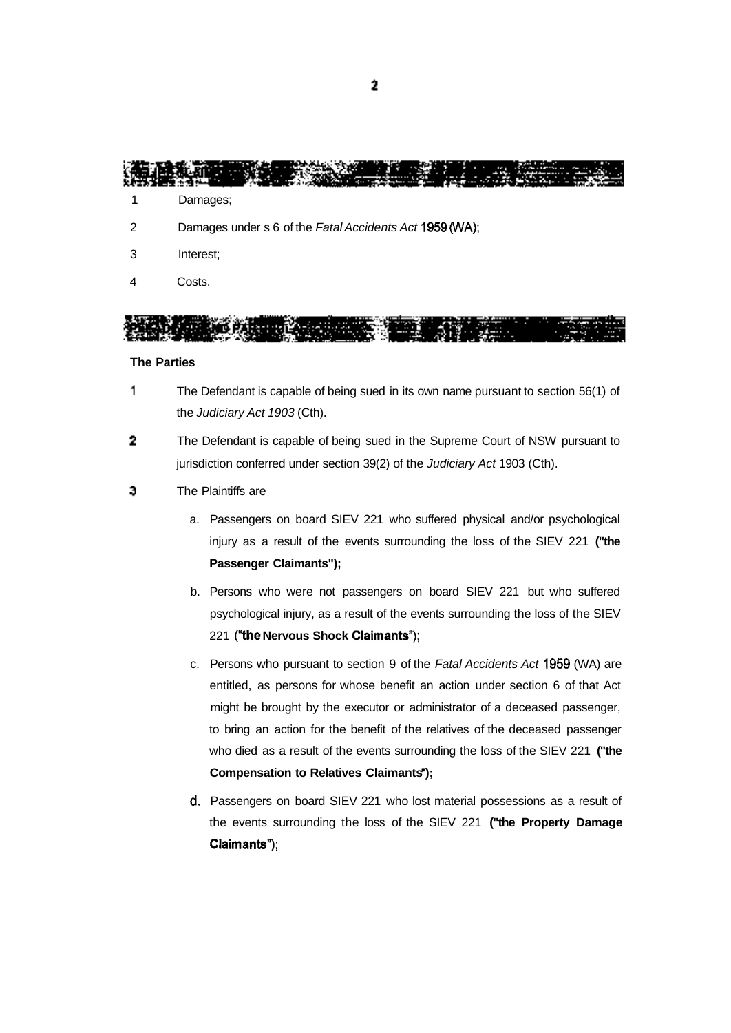an a 

- 1 Damages;
- 2 Damages under s 6 of the Fatal Accidents Act 1959 (WA);
- 3 Interest;
- 4 Costs.

en de Si OM S - 513

#### **The Parties**

- 1 The Defendant is capable of being sued in its own name pursuant to section 56(1) of the Judiciary Act 1903 (Cth).
- $\overline{\mathbf{2}}$ The Defendant is capable of being sued in the Supreme Court of NSW pursuant to jurisdiction conferred under section 39(2) of the Judiciary Act 1903 (Cth).
- 3 The Plaintiffs are
	- a. Passengers on board SIEV 221 who suffered physical and/or psychological injury as a result of the events surrounding the loss of the SIEV 221 **("the Passenger Claimants");**
	- b. Persons who were not passengers on board SIEV 221 but who suffered psychological injury, as a result of the events surrounding the loss of the SIEV 221 **(the Nervous Shock Claimants");**
	- c. Persons who pursuant to section 9 of the Fatal Accidents Act 1959 (WA) are entitled, as persons for whose benefit an action under section 6 of that Act might be brought by the executor or administrator of a deceased passenger, to bring an action for the benefit of the relatives of the deceased passenger who died as a result of the events surrounding the loss of the SIEV 221 **("the Compensation to Relatives Claimants');**
	- d. Passengers on board SIEV 221 who lost material possessions as a result of the events surrounding the loss of the SIEV 221 **("the Property Damage Claimants");**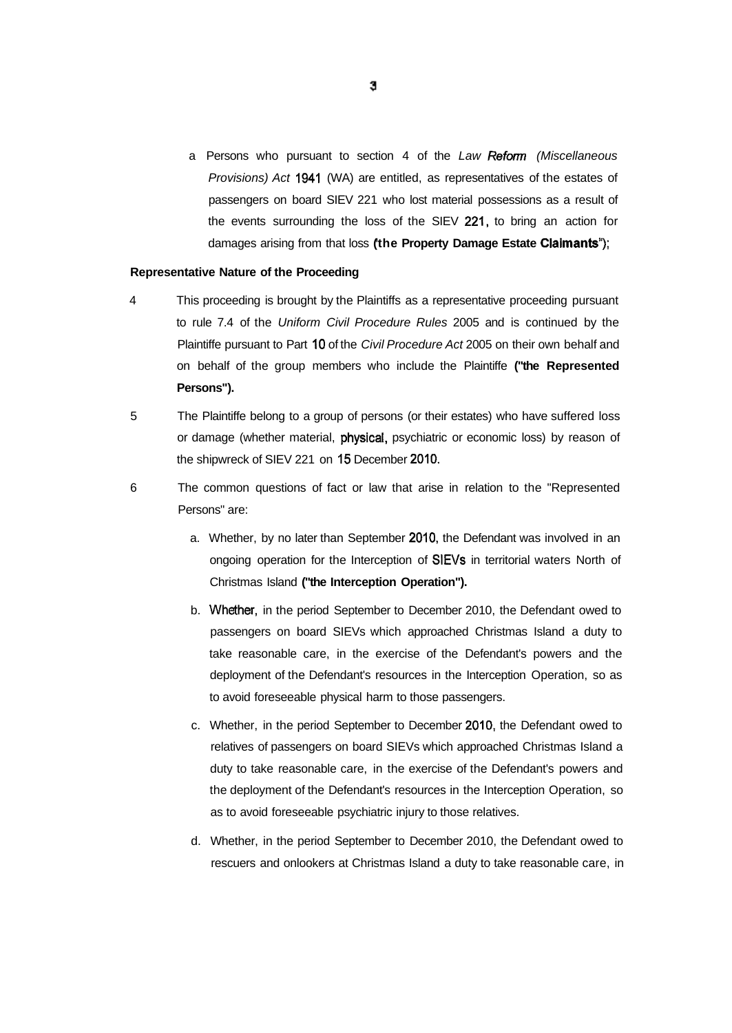a Persons who pursuant to section 4 of the Law Reform (Miscellaneous Provisions) Act 1941 (WA) are entitled, as representatives of the estates of passengers on board SIEV 221 who lost material possessions as a result of the events surrounding the loss of the SIEV 221, to bring an action for damages arising from that loss **(the Property Damage Estate Claimants");** 

#### **Representative Nature of the Proceeding**

- 4 This proceeding is brought by the Plaintiffs as a representative proceeding pursuant to rule 7.4 of the Uniform Civil Procedure Rules 2005 and is continued by the Plaintiffe pursuant to Part 10 of the Civil Procedure Act 2005 on their own behalf and on behalf of the group members who include the Plaintiffe **("the Represented Persons").**
- 5 The Plaintiffe belong to a group of persons (or their estates) who have suffered loss or damage (whether material, physical, psychiatric or economic loss) by reason of the shipwreck of SIEV 221 on 15 December 2010.
- 6 The common questions of fact or law that arise in relation to the "Represented Persons" are:
	- a. Whether, by no later than September 2010, the Defendant was involved in an ongoing operation for the Interception of SIEVs in territorial waters North of Christmas Island **("the Interception Operation").**
	- b. Whether, in the period September to December 2010, the Defendant owed to passengers on board SIEVs which approached Christmas Island a duty to take reasonable care, in the exercise of the Defendant's powers and the deployment of the Defendant's resources in the Interception Operation, so as to avoid foreseeable physical harm to those passengers.
	- c. Whether, in the period September to December 2010, the Defendant owed to relatives of passengers on board SIEVs which approached Christmas Island a duty to take reasonable care, in the exercise of the Defendant's powers and the deployment of the Defendant's resources in the Interception Operation, so as to avoid foreseeable psychiatric injury to those relatives.
	- d. Whether, in the period September to December 2010, the Defendant owed to rescuers and onlookers at Christmas Island a duty to take reasonable care, in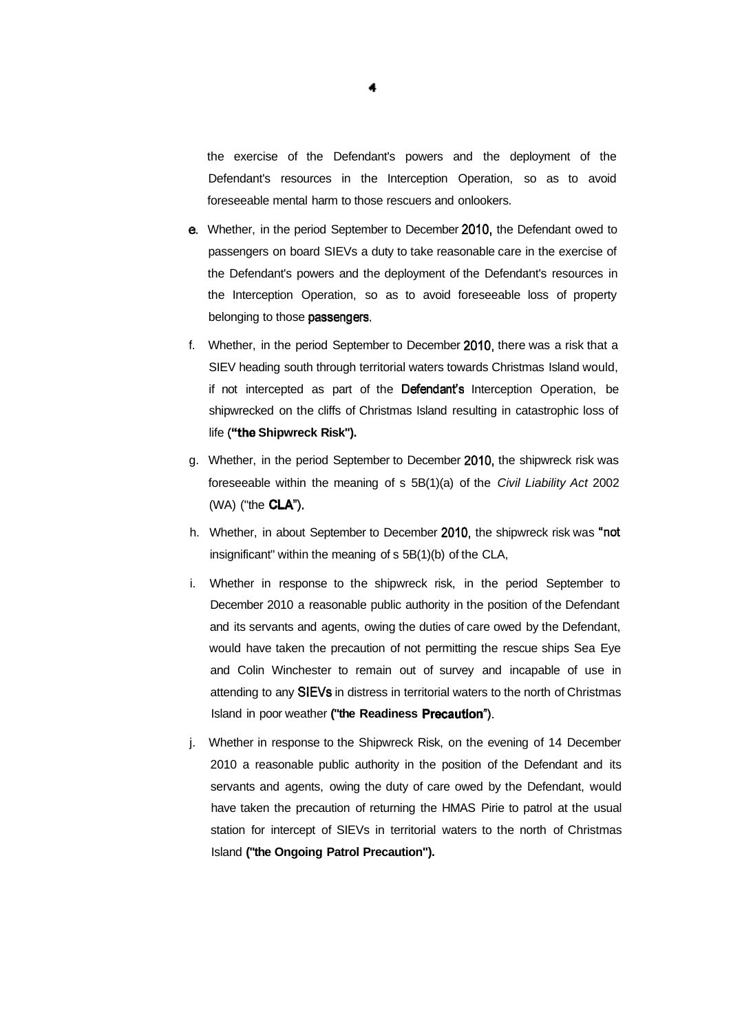the exercise of the Defendant's powers and the deployment of the Defendant's resources in the Interception Operation, so as to avoid foreseeable mental harm to those rescuers and onlookers.

- e. Whether, in the period September to December 2010, the Defendant owed to passengers on board SIEVs a duty to take reasonable care in the exercise of the Defendant's powers and the deployment of the Defendant's resources in the Interception Operation, so as to avoid foreseeable loss of property belonging to those **passengers**.
- f. Whether, in the period September to December 2010, there was a risk that a SIEV heading south through territorial waters towards Christmas Island would, if not intercepted as part of the Defendant's Interception Operation, be shipwrecked on the cliffs of Christmas Island resulting in catastrophic loss of life **("the Shipwreck Risk").**
- g. Whether, in the period September to December 2010, the shipwreck risk was foreseeable within the meaning of s 5B(1)(a) of the Civil Liability Act 2002 (WA) ("the CLA").
- h. Whether, in about September to December 2010, the shipwreck risk was "not insignificant" within the meaning of s 5B(1)(b) of the CLA,
- i. Whether in response to the shipwreck risk, in the period September to December 2010 a reasonable public authority in the position of the Defendant and its servants and agents, owing the duties of care owed by the Defendant, would have taken the precaution of not permitting the rescue ships Sea Eye and Colin Winchester to remain out of survey and incapable of use in attending to any SIEVs in distress in territorial waters to the north of Christmas Island in poor weather **("the Readiness Precaution").**
- j. Whether in response to the Shipwreck Risk, on the evening of 14 December 2010 a reasonable public authority in the position of the Defendant and its servants and agents, owing the duty of care owed by the Defendant, would have taken the precaution of returning the HMAS Pirie to patrol at the usual station for intercept of SIEVs in territorial waters to the north of Christmas Island **("the Ongoing Patrol Precaution").**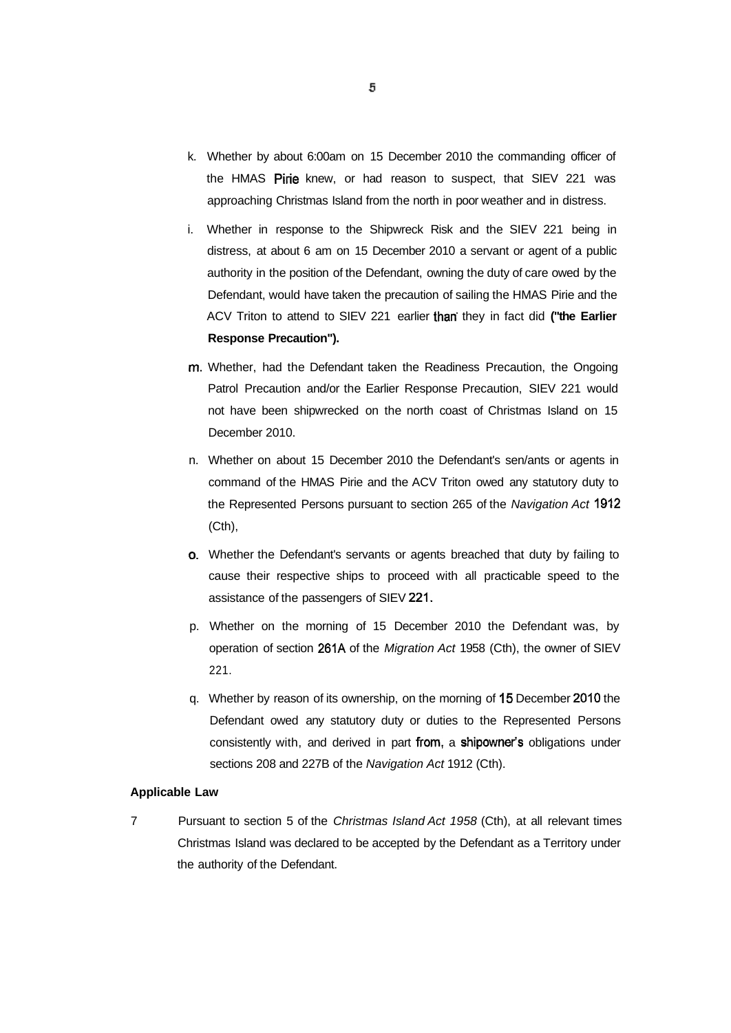- k. Whether by about 6:00am on 15 December 2010 the commanding officer of the HMAS Pirie knew, or had reason to suspect, that SIEV 221 was approaching Christmas Island from the north in poor weather and in distress.
- i. Whether in response to the Shipwreck Risk and the SIEV 221 being in distress, at about 6 am on 15 December 2010 a servant or agent of a public authority in the position of the Defendant, owning the duty of care owed by the Defendant, would have taken the precaution of sailing the HMAS Pirie and the ACV Triton to attend to SIEV 221 earlier than' they in fact did **("the Earlier Response Precaution").**
- m. Whether, had the Defendant taken the Readiness Precaution, the Ongoing Patrol Precaution and/or the Earlier Response Precaution, SIEV 221 would not have been shipwrecked on the north coast of Christmas Island on 15 December 2010.
- n. Whether on about 15 December 2010 the Defendant's sen/ants or agents in command of the HMAS Pirie and the ACV Triton owed any statutory duty to the Represented Persons pursuant to section 265 of the Navigation Act 1912 (Cth),
- o. Whether the Defendant's servants or agents breached that duty by failing to cause their respective ships to proceed with all practicable speed to the assistance of the passengers of SIEV 221.
- p. Whether on the morning of 15 December 2010 the Defendant was, by operation of section 261A of the Migration Act 1958 (Cth), the owner of SIEV 221.
- q. Whether by reason of its ownership, on the morning of 15 December 2010 the Defendant owed any statutory duty or duties to the Represented Persons consistently with, and derived in part from, a shipowner's obligations under sections 208 and 227B of the Navigation Act 1912 (Cth).

## **Applicable Law**

7 Pursuant to section 5 of the Christmas Island Act 1958 (Cth), at all relevant times Christmas Island was declared to be accepted by the Defendant as a Territory under the authority of the Defendant.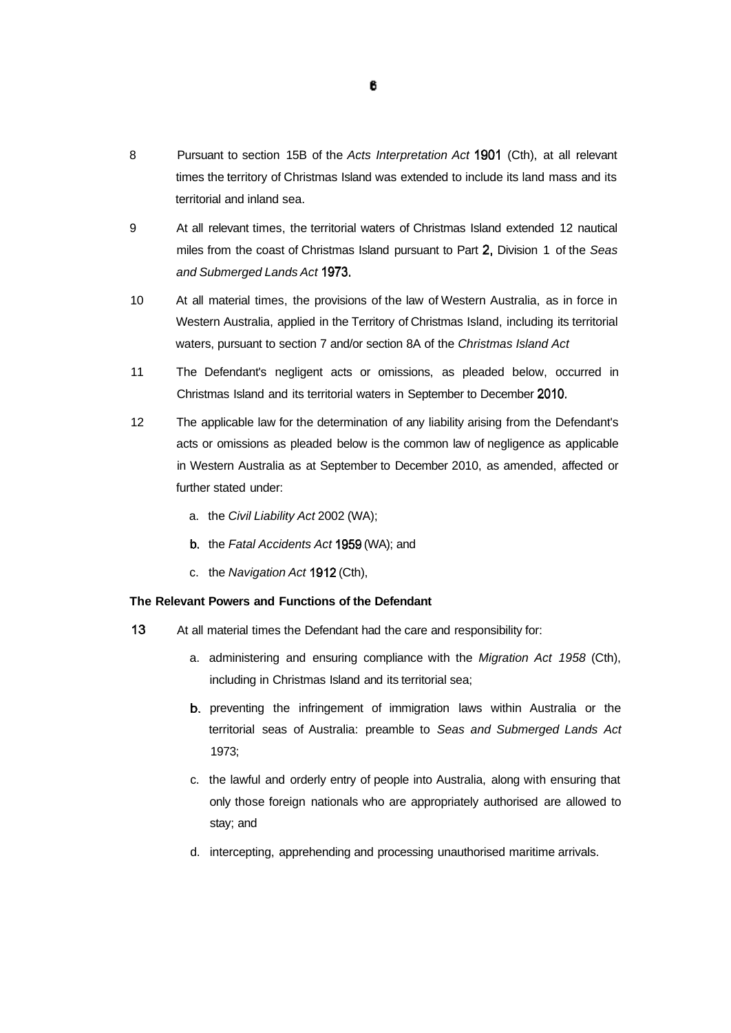- 8 Pursuant to section 15B of the Acts Interpretation Act 1901 (Cth), at all relevant times the territory of Christmas Island was extended to include its land mass and its territorial and inland sea.
- 9 At all relevant times, the territorial waters of Christmas Island extended 12 nautical miles from the coast of Christmas Island pursuant to Part 2, Division 1 of the Seas and Submerged Lands Act 1973.
- 10 At all material times, the provisions of the law of Western Australia, as in force in Western Australia, applied in the Territory of Christmas Island, including its territorial waters, pursuant to section 7 and/or section 8A of the Christmas Island Act
- 11 The Defendant's negligent acts or omissions, as pleaded below, occurred in Christmas Island and its territorial waters in September to December 2010.
- 12 The applicable law for the determination of any liability arising from the Defendant's acts or omissions as pleaded below is the common law of negligence as applicable in Western Australia as at September to December 2010, as amended, affected or further stated under:
	- a. the Civil Liability Act 2002 (WA);
	- b. the Fatal Accidents Act 1959 (WA); and
	- c. the Navigation Act 1912 (Cth),

## **The Relevant Powers and Functions of the Defendant**

- 13 At all material times the Defendant had the care and responsibility for:
	- a. administering and ensuring compliance with the Migration Act 1958 (Cth), including in Christmas Island and its territorial sea;
	- b. preventing the infringement of immigration laws within Australia or the territorial seas of Australia: preamble to Seas and Submerged Lands Act 1973;
	- c. the lawful and orderly entry of people into Australia, along with ensuring that only those foreign nationals who are appropriately authorised are allowed to stay; and
	- d. intercepting, apprehending and processing unauthorised maritime arrivals.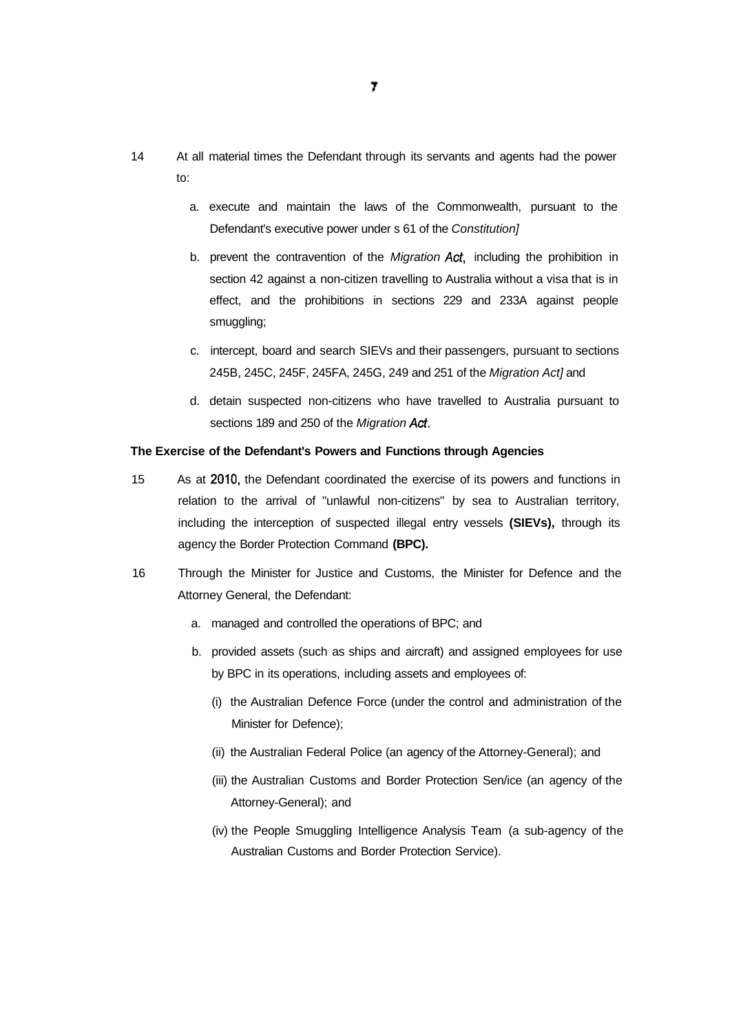- 14 At all material times the Defendant through its servants and agents had the power to:
	- a. execute and maintain the laws of the Commonwealth, pursuant to the Defendant's executive power under s 61 of the Constitution]
	- b. prevent the contravention of the Migration Act, including the prohibition in section 42 against a non-citizen travelling to Australia without a visa that is in effect, and the prohibitions in sections 229 and 233A against people smuggling;
	- c. intercept, board and search SIEVs and their passengers, pursuant to sections 245B, 245C, 245F, 245FA, 245G, 249 and 251 of the Migration Act] and
	- d. detain suspected non-citizens who have travelled to Australia pursuant to sections 189 and 250 of the Migration Act.

#### **The Exercise of the Defendant's Powers and Functions through Agencies**

- 15 As at 2010, the Defendant coordinated the exercise of its powers and functions in relation to the arrival of "unlawful non-citizens" by sea to Australian territory, including the interception of suspected illegal entry vessels **(SIEVs),** through its agency the Border Protection Command **(BPC).**
- 16 Through the Minister for Justice and Customs, the Minister for Defence and the Attorney General, the Defendant:
	- a. managed and controlled the operations of BPC; and
	- b. provided assets (such as ships and aircraft) and assigned employees for use by BPC in its operations, including assets and employees of:
		- (i) the Australian Defence Force (under the control and administration of the Minister for Defence);
		- (ii) the Australian Federal Police (an agency of the Attorney-General); and
		- (iii) the Australian Customs and Border Protection Sen/ice (an agency of the Attorney-General); and
		- (iv) the People Smuggling Intelligence Analysis Team (a sub-agency of the Australian Customs and Border Protection Service).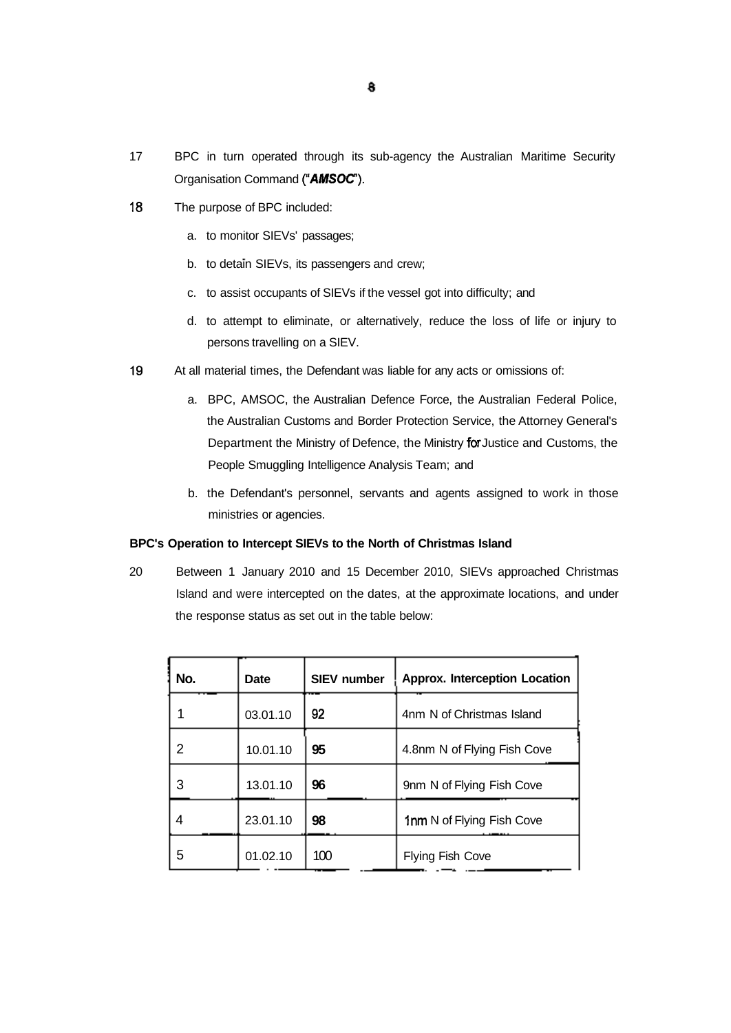- 17 BPC in turn operated through its sub-agency the Australian Maritime Security Organisation Command **("AMSOC).**
- 18 The purpose of BPC included:
	- a. to monitor SIEVs' passages;
	- b. to detain SIEVs, its passengers and crew;
	- c. to assist occupants of SIEVs if the vessel got into difficulty; and
	- d. to attempt to eliminate, or alternatively, reduce the loss of life or injury to persons travelling on a SIEV.
- 19 At all material times, the Defendant was liable for any acts or omissions of:
	- a. BPC, AMSOC, the Australian Defence Force, the Australian Federal Police, the Australian Customs and Border Protection Service, the Attorney General's Department the Ministry of Defence, the Ministry for Justice and Customs, the People Smuggling Intelligence Analysis Team; and
	- b. the Defendant's personnel, servants and agents assigned to work in those ministries or agencies.

# **BPC's Operation to Intercept SIEVs to the North of Christmas Island**

20 Between 1 January 2010 and 15 December 2010, SIEVs approached Christmas Island and were intercepted on the dates, at the approximate locations, and under the response status as set out in the table below:

| No. | Date     | <b>SIEV number</b><br><b>Approx. Interception Location</b> |                           |  |
|-----|----------|------------------------------------------------------------|---------------------------|--|
|     | 03.01.10 | 92                                                         | 4nm N of Christmas Island |  |
| 2   | 10.01.10 | 95<br>4.8nm N of Flying Fish Cove                          |                           |  |
| 3   | 13.01.10 | 96                                                         | 9nm N of Flying Fish Cove |  |
| 4   | 23.01.10 | 98<br>1nm N of Flying Fish Cove                            |                           |  |
| 5   | 01.02.10 | 100                                                        | <b>Flying Fish Cove</b>   |  |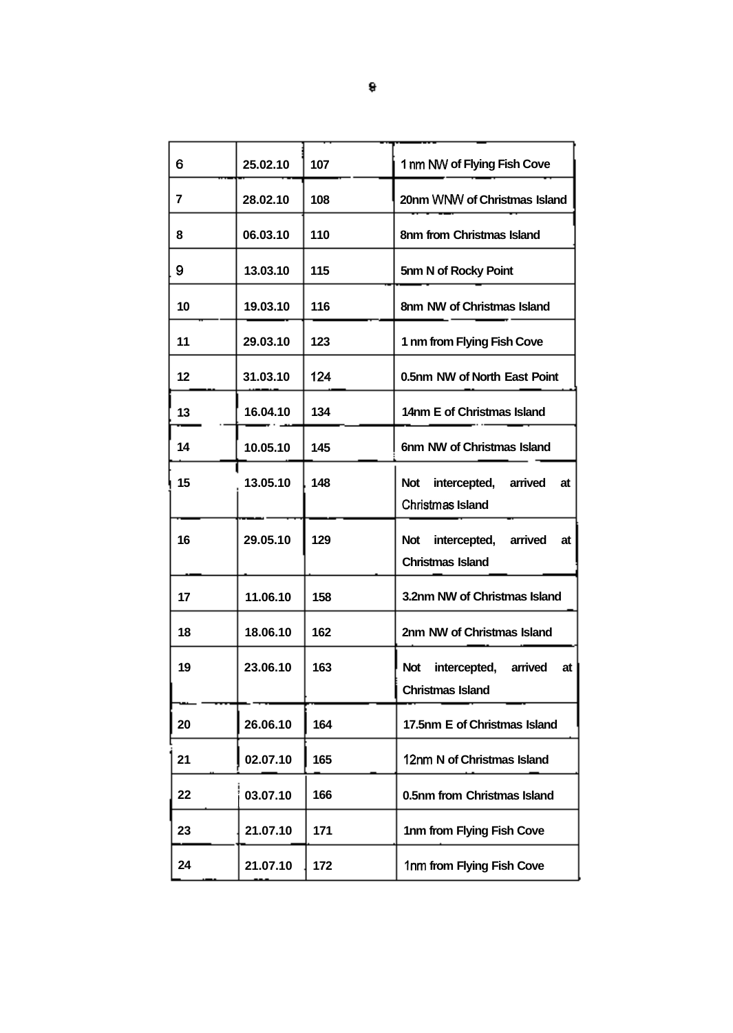| 6  | 25.02.10 | 107 | 1 nm NW of Flying Fish Cove                                            |  |
|----|----------|-----|------------------------------------------------------------------------|--|
| 7  | 28.02.10 | 108 | 20nm WNW of Christmas Island                                           |  |
| 8  | 06.03.10 | 110 | 8nm from Christmas Island                                              |  |
| 9  | 13.03.10 | 115 | 5nm N of Rocky Point                                                   |  |
| 10 | 19.03.10 | 116 | 8nm NW of Christmas Island                                             |  |
| 11 | 29.03.10 | 123 | 1 nm from Flying Fish Cove                                             |  |
| 12 | 31.03.10 | 124 | 0.5nm NW of North East Point                                           |  |
| 13 | 16.04.10 | 134 | 14nm E of Christmas Island                                             |  |
| 14 | 10.05.10 | 145 | 6nm NW of Christmas Island                                             |  |
| 15 | 13.05.10 | 148 | <b>Not</b><br>intercepted, arrived<br>at<br><b>Christmas Island</b>    |  |
| 16 | 29.05.10 | 129 | intercepted,<br>arrived<br><b>Not</b><br>at<br><b>Christmas Island</b> |  |
| 17 | 11.06.10 | 158 | 3.2nm NW of Christmas Island                                           |  |
| 18 | 18.06.10 | 162 | 2nm NW of Christmas Island                                             |  |
| 19 | 23.06.10 | 163 | arrived<br><b>Not</b><br>intercepted,<br>at<br><b>Christmas Island</b> |  |
| 20 | 26.06.10 | 164 | 17.5nm E of Christmas Island                                           |  |
| 21 | 02.07.10 | 165 | 12nm N of Christmas Island                                             |  |
| 22 | 03.07.10 | 166 | 0.5nm from Christmas Island                                            |  |
| 23 | 21.07.10 | 171 | 1nm from Flying Fish Cove                                              |  |
| 24 | 21.07.10 | 172 | 1nm from Flying Fish Cove                                              |  |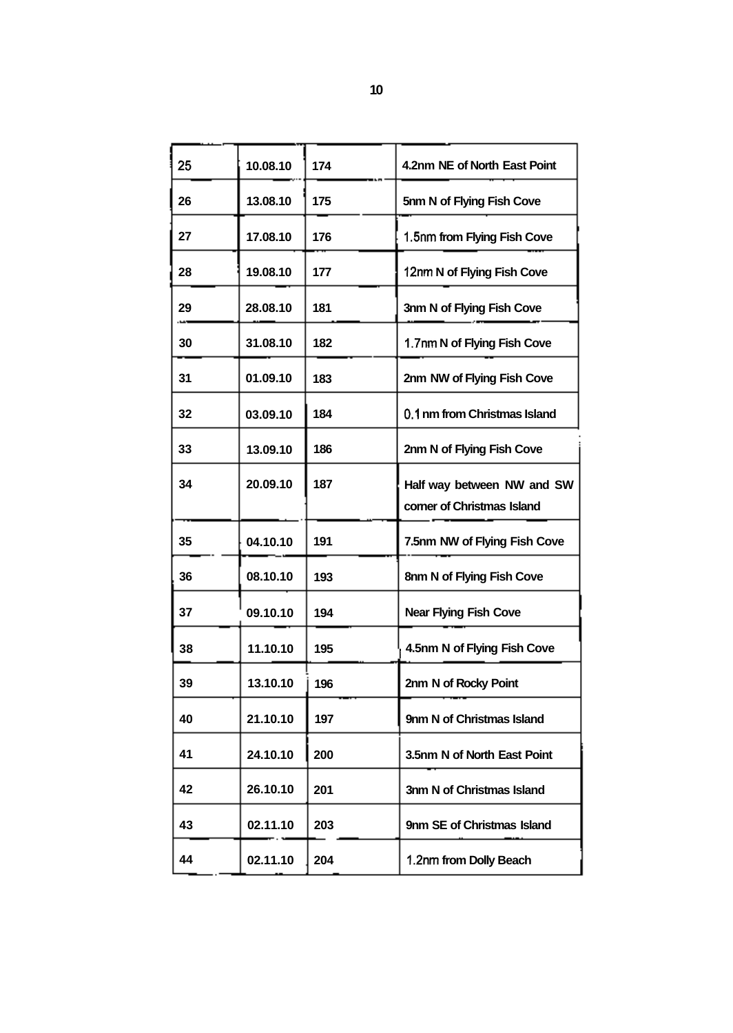| 25 | 10.08.10 | 174 | 4.2nm NE of North East Point                             |  |
|----|----------|-----|----------------------------------------------------------|--|
| 26 | 13.08.10 | 175 | 5nm N of Flying Fish Cove                                |  |
| 27 | 17.08.10 | 176 | 1.5nm from Flying Fish Cove                              |  |
| 28 | 19.08.10 | 177 | 12nm N of Flying Fish Cove                               |  |
| 29 | 28.08.10 | 181 | 3nm N of Flying Fish Cove                                |  |
| 30 | 31.08.10 | 182 | 1.7nm N of Flying Fish Cove                              |  |
| 31 | 01.09.10 | 183 | 2nm NW of Flying Fish Cove                               |  |
| 32 | 03.09.10 | 184 | 0.1 nm from Christmas Island                             |  |
| 33 | 13.09.10 | 186 | 2nm N of Flying Fish Cove                                |  |
| 34 | 20.09.10 | 187 | Half way between NW and SW<br>corner of Christmas Island |  |
| 35 | 04.10.10 | 191 | 7.5nm NW of Flying Fish Cove                             |  |
| 36 | 08.10.10 | 193 | 8nm N of Flying Fish Cove                                |  |
| 37 | 09.10.10 | 194 | <b>Near Flying Fish Cove</b>                             |  |
| 38 | 11.10.10 | 195 | 4.5nm N of Flying Fish Cove                              |  |
| 39 | 13.10.10 | 196 | 2nm N of Rocky Point                                     |  |
| 40 | 21.10.10 | 197 | 9nm N of Christmas Island                                |  |
| 41 | 24.10.10 | 200 | 3.5nm N of North East Point                              |  |
| 42 | 26.10.10 | 201 | 3nm N of Christmas Island                                |  |
| 43 | 02.11.10 | 203 | 9nm SE of Christmas Island                               |  |
| 44 | 02.11.10 | 204 | 1.2nm from Dolly Beach                                   |  |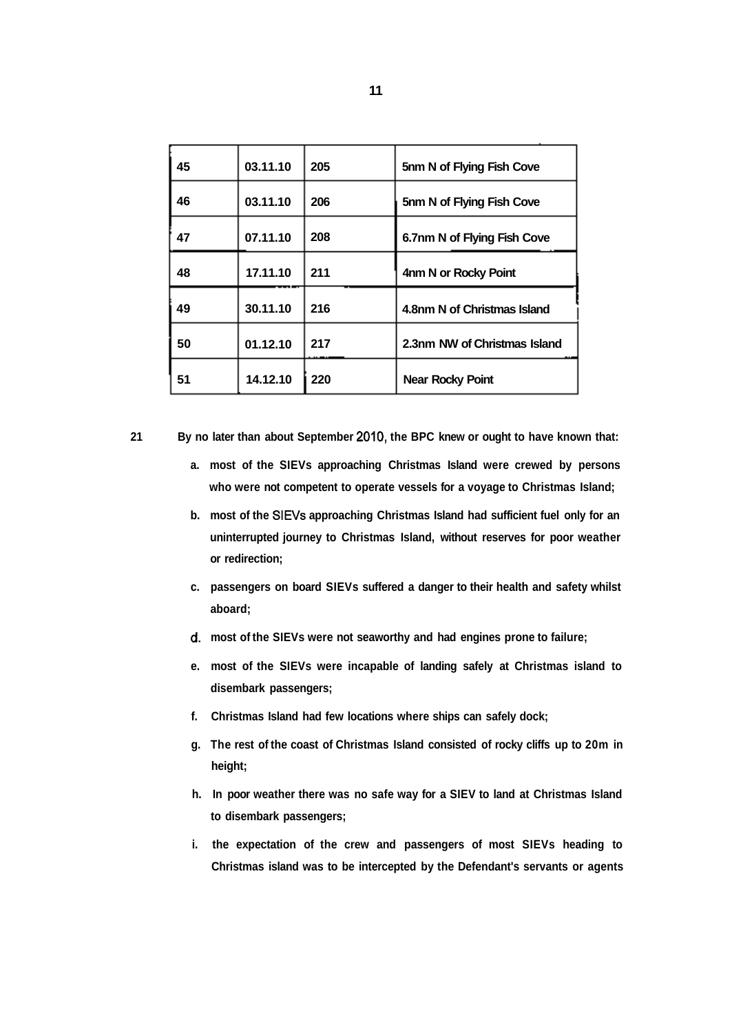| 45 | 03.11.10 | 205 | 5nm N of Flying Fish Cove    |  |
|----|----------|-----|------------------------------|--|
| 46 | 03.11.10 | 206 | 5nm N of Flying Fish Cove    |  |
| 47 | 07.11.10 | 208 | 6.7nm N of Flying Fish Cove  |  |
| 48 | 17.11.10 | 211 | 4nm N or Rocky Point         |  |
| 49 | 30.11.10 | 216 | 4.8nm N of Christmas Island  |  |
| 50 | 01.12.10 | 217 | 2.3nm NW of Christmas Island |  |
| 51 | 14.12.10 | 220 | <b>Near Rocky Point</b>      |  |

**21 By no later than about September 2010, the BPC knew or ought to have known that:** 

- **a. most of the SIEVs approaching Christmas Island were crewed by persons who were not competent to operate vessels for a voyage to Christmas Island;**
- **b. most of the SIEVs approaching Christmas Island had sufficient fuel only for an uninterrupted journey to Christmas Island, without reserves for poor weather or redirection;**
- **c. passengers on board SIEVs suffered a danger to their health and safety whilst aboard;**
- **d. most of the SIEVs were not seaworthy and had engines prone to failure;**
- **e. most of the SIEVs were incapable of landing safely at Christmas island to disembark passengers;**
- **f. Christmas Island had few locations where ships can safely dock;**
- **g. The rest of the coast of Christmas Island consisted of rocky cliffs up to 20m in height;**
- **h. In poor weather there was no safe way for a SIEV to land at Christmas Island to disembark passengers;**
- **i. the expectation of the crew and passengers of most SIEVs heading to Christmas island was to be intercepted by the Defendant's servants or agents**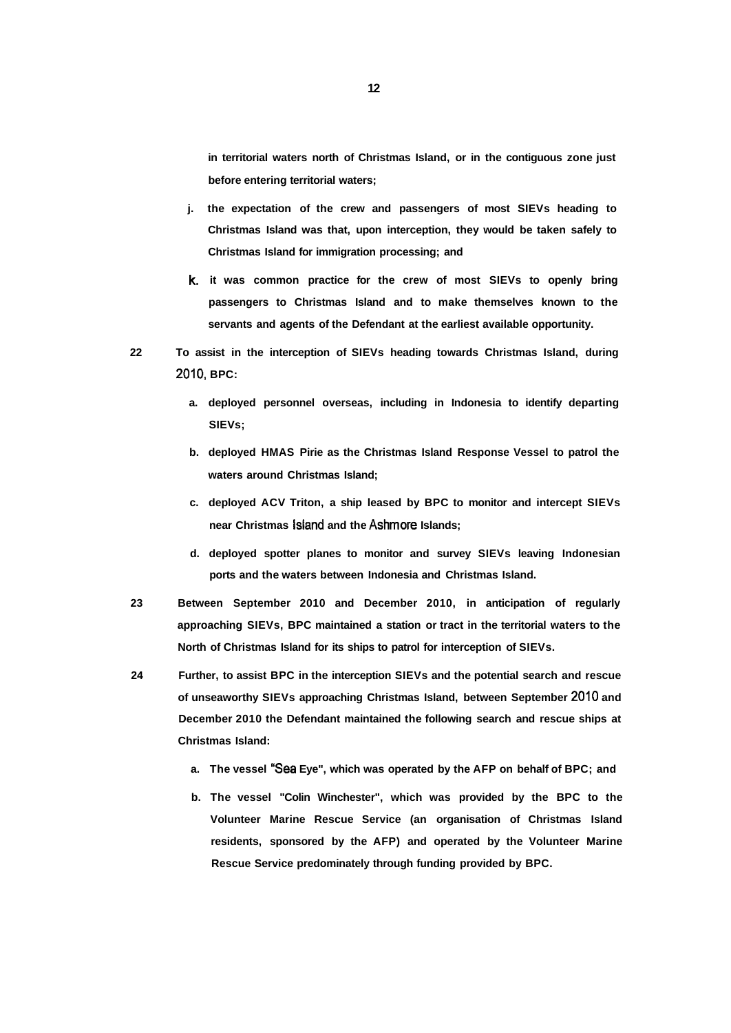**in territorial waters north of Christmas Island, or in the contiguous zone just before entering territorial waters;** 

- **j. the expectation of the crew and passengers of most SIEVs heading to Christmas Island was that, upon interception, they would be taken safely to Christmas Island for immigration processing; and**
- **k. it was common practice for the crew of most SIEVs to openly bring passengers to Christmas Island and to make themselves known to the servants and agents of the Defendant at the earliest available opportunity.**
- **22 To assist in the interception of SIEVs heading towards Christmas Island, during 2010, BPC:** 
	- **a. deployed personnel overseas, including in Indonesia to identify departing SIEVs;**
	- **b. deployed HMAS Pirie as the Christmas Island Response Vessel to patrol the waters around Christmas Island;**
	- **c. deployed ACV Triton, a ship leased by BPC to monitor and intercept SIEVs near Christmas Island and the Ashmore Islands;**
	- **d. deployed spotter planes to monitor and survey SIEVs leaving Indonesian ports and the waters between Indonesia and Christmas Island.**
- **23 Between September 2010 and December 2010, in anticipation of regularly approaching SIEVs, BPC maintained a station or tract in the territorial waters to the North of Christmas Island for its ships to patrol for interception of SIEVs.**
- **24 Further, to assist BPC in the interception SIEVs and the potential search and rescue of unseaworthy SIEVs approaching Christmas Island, between September 2010 and December 2010 the Defendant maintained the following search and rescue ships at Christmas Island:** 
	- **a. The vessel "Sea Eye", which was operated by the AFP on behalf of BPC; and**
	- **b. The vessel "Colin Winchester", which was provided by the BPC to the Volunteer Marine Rescue Service (an organisation of Christmas Island residents, sponsored by the AFP) and operated by the Volunteer Marine Rescue Service predominately through funding provided by BPC.**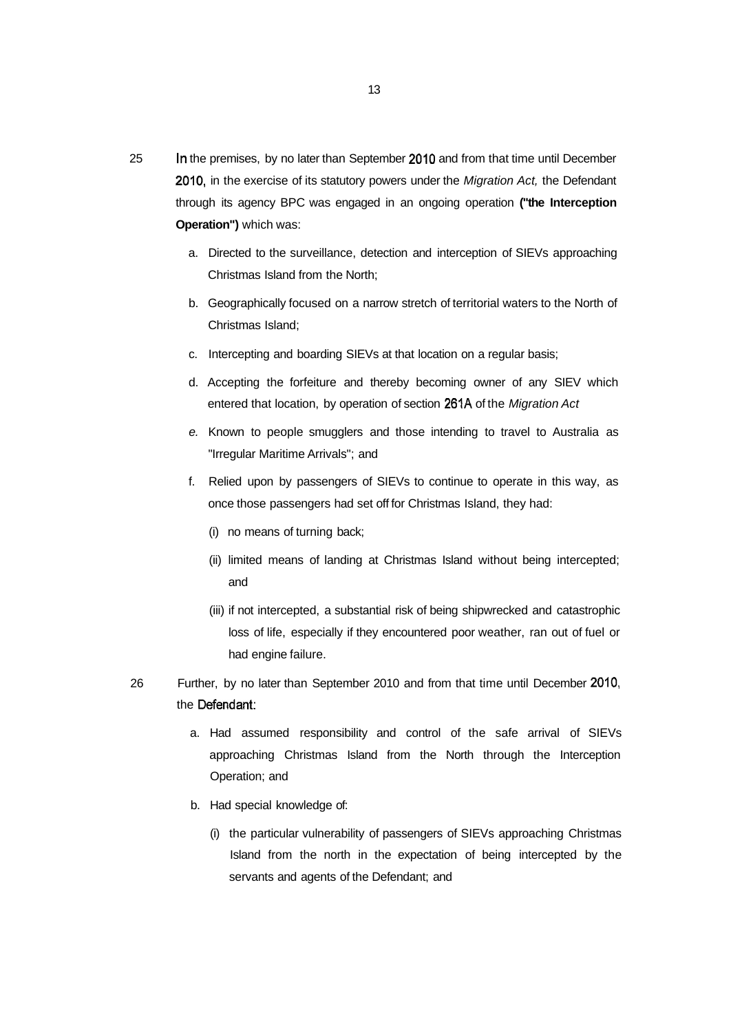- 25 In the premises, by no later than September 2010 and from that time until December 2010, in the exercise of its statutory powers under the Migration Act, the Defendant through its agency BPC was engaged in an ongoing operation **("the Interception Operation")** which was:
	- a. Directed to the surveillance, detection and interception of SIEVs approaching Christmas Island from the North;
	- b. Geographically focused on a narrow stretch of territorial waters to the North of Christmas Island;
	- c. Intercepting and boarding SIEVs at that location on a regular basis;
	- d. Accepting the forfeiture and thereby becoming owner of any SIEV which entered that location, by operation of section 261A of the Migration Act
	- e. Known to people smugglers and those intending to travel to Australia as "Irregular Maritime Arrivals"; and
	- f. Relied upon by passengers of SIEVs to continue to operate in this way, as once those passengers had set off for Christmas Island, they had:
		- (i) no means of turning back;
		- (ii) limited means of landing at Christmas Island without being intercepted; and
		- (iii) if not intercepted, a substantial risk of being shipwrecked and catastrophic loss of life, especially if they encountered poor weather, ran out of fuel or had engine failure.
- 26 Further, by no later than September 2010 and from that time until December 2010: the Defendant:
	- a. Had assumed responsibility and control of the safe arrival of SIEVs approaching Christmas Island from the North through the Interception Operation; and
	- b. Had special knowledge of:
		- (i) the particular vulnerability of passengers of SIEVs approaching Christmas Island from the north in the expectation of being intercepted by the servants and agents of the Defendant; and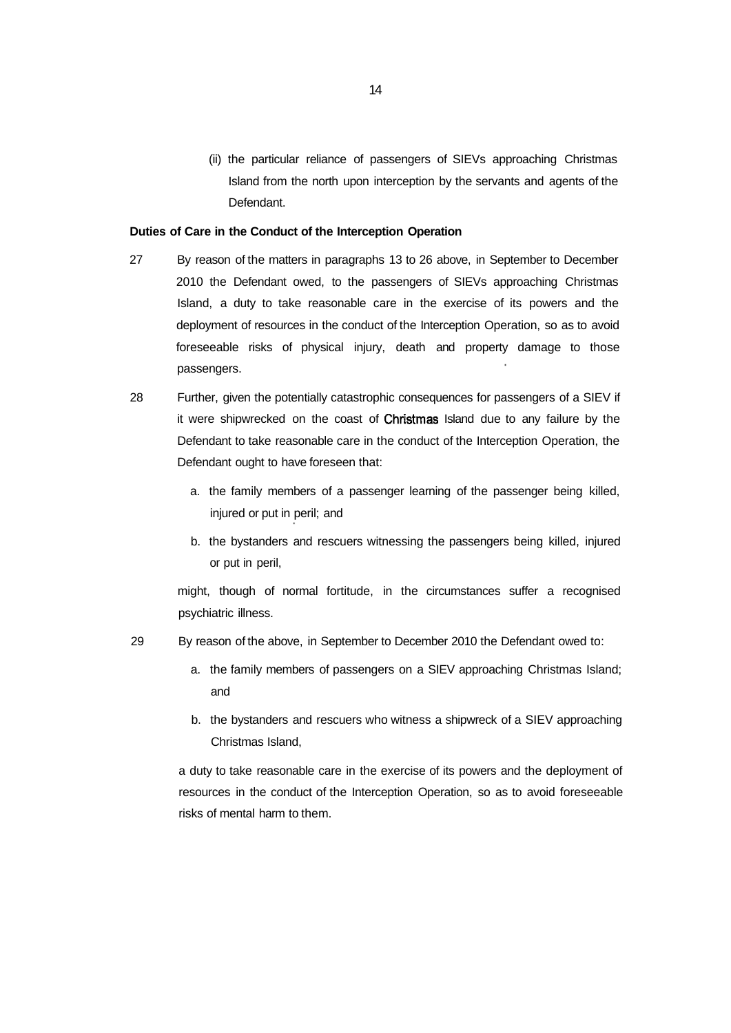(ii) the particular reliance of passengers of SIEVs approaching Christmas Island from the north upon interception by the servants and agents of the Defendant.

#### **Duties of Care in the Conduct of the Interception Operation**

- 27 By reason of the matters in paragraphs 13 to 26 above, in September to December 2010 the Defendant owed, to the passengers of SIEVs approaching Christmas Island, a duty to take reasonable care in the exercise of its powers and the deployment of resources in the conduct of the Interception Operation, so as to avoid foreseeable risks of physical injury, death and property damage to those passengers.
- 28 Further, given the potentially catastrophic consequences for passengers of a SIEV if it were shipwrecked on the coast of Christmas Island due to any failure by the Defendant to take reasonable care in the conduct of the Interception Operation, the Defendant ought to have foreseen that:
	- a. the family members of a passenger learning of the passenger being killed, injured or put in peril; and
	- b. the bystanders and rescuers witnessing the passengers being killed, injured or put in peril,

might, though of normal fortitude, in the circumstances suffer a recognised psychiatric illness.

- 29 By reason of the above, in September to December 2010 the Defendant owed to:
	- a. the family members of passengers on a SIEV approaching Christmas Island; and
	- b. the bystanders and rescuers who witness a shipwreck of a SIEV approaching Christmas Island,

a duty to take reasonable care in the exercise of its powers and the deployment of resources in the conduct of the Interception Operation, so as to avoid foreseeable risks of mental harm to them.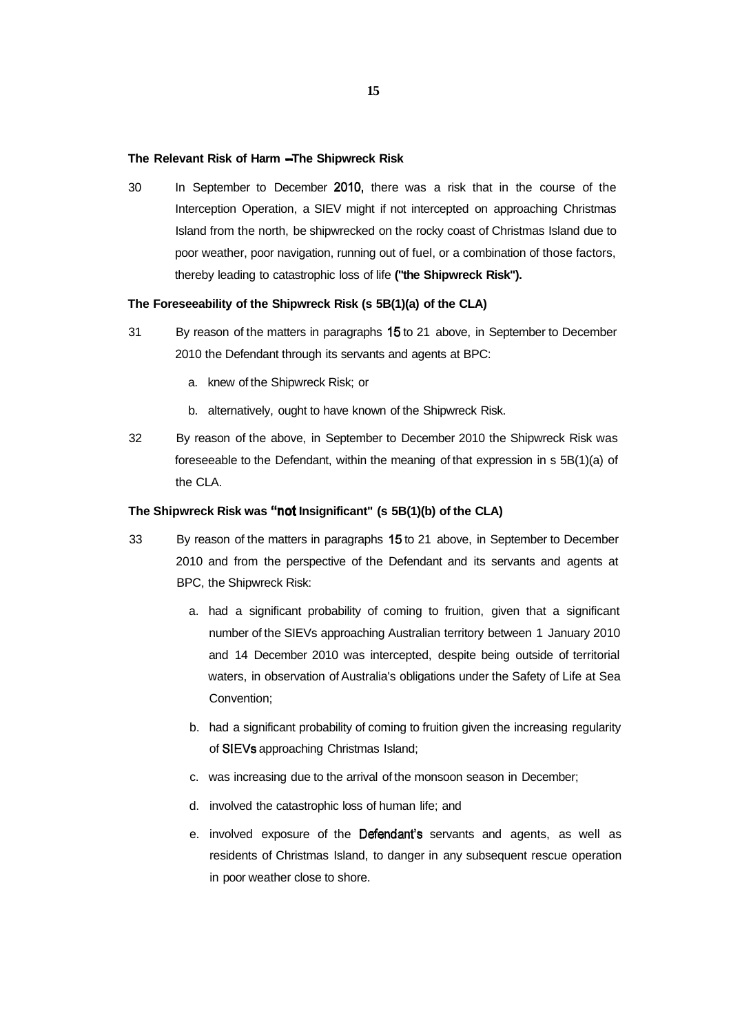#### The Relevant Risk of Harm - The Shipwreck Risk

30 In September to December 2010, there was a risk that in the course of the Interception Operation, a SIEV might if not intercepted on approaching Christmas Island from the north, be shipwrecked on the rocky coast of Christmas Island due to poor weather, poor navigation, running out of fuel, or a combination of those factors, thereby leading to catastrophic loss of life **("the Shipwreck Risk").** 

## **The Foreseeability of the Shipwreck Risk (s 5B(1)(a) of the CLA)**

- 31 By reason of the matters in paragraphs 15 to 21 above, in September to December 2010 the Defendant through its servants and agents at BPC:
	- a. knew of the Shipwreck Risk; or
	- b. alternatively, ought to have known of the Shipwreck Risk.
- 32 By reason of the above, in September to December 2010 the Shipwreck Risk was foreseeable to the Defendant, within the meaning of that expression in s 5B(1)(a) of the CLA.

#### **The Shipwreck Risk was "not Insignificant" (s 5B(1)(b) of the CLA)**

- 33 By reason of the matters in paragraphs 15 to 21 above, in September to December 2010 and from the perspective of the Defendant and its servants and agents at BPC, the Shipwreck Risk:
	- a. had a significant probability of coming to fruition, given that a significant number of the SIEVs approaching Australian territory between 1 January 2010 and 14 December 2010 was intercepted, despite being outside of territorial waters, in observation of Australia's obligations under the Safety of Life at Sea Convention;
	- b. had a significant probability of coming to fruition given the increasing regularity of SIEVs approaching Christmas Island;
	- c. was increasing due to the arrival of the monsoon season in December;
	- d. involved the catastrophic loss of human life; and
	- e. involved exposure of the Defendant's servants and agents, as well as residents of Christmas Island, to danger in any subsequent rescue operation in poor weather close to shore.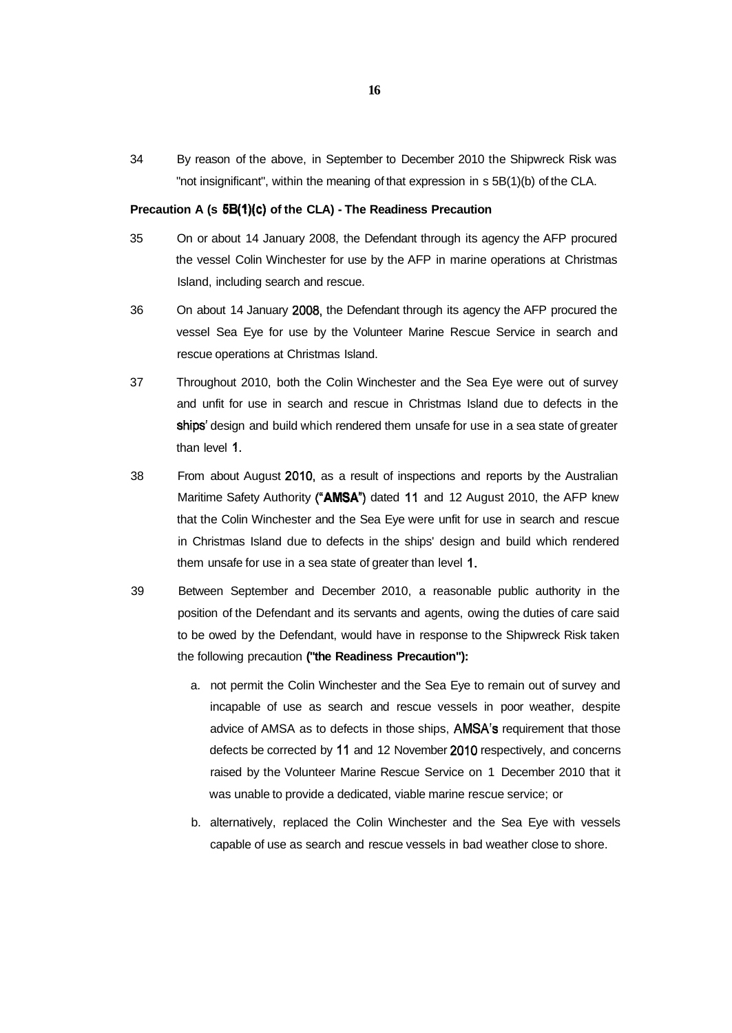34 By reason of the above, in September to December 2010 the Shipwreck Risk was "not insignificant", within the meaning of that expression in s 5B(1)(b) of the CLA.

#### **Precaution A (s 5B(1)(c) of the CLA) - The Readiness Precaution**

- 35 On or about 14 January 2008, the Defendant through its agency the AFP procured the vessel Colin Winchester for use by the AFP in marine operations at Christmas Island, including search and rescue.
- 36 On about 14 January 2008, the Defendant through its agency the AFP procured the vessel Sea Eye for use by the Volunteer Marine Rescue Service in search and rescue operations at Christmas Island.
- 37 Throughout 2010, both the Colin Winchester and the Sea Eye were out of survey and unfit for use in search and rescue in Christmas Island due to defects in the ships' design and build which rendered them unsafe for use in a sea state of greater than level 1.
- 38 From about August 2010, as a result of inspections and reports by the Australian Maritime Safety Authority **("AMSA")** dated 11 and 12 August 2010, the AFP knew that the Colin Winchester and the Sea Eye were unfit for use in search and rescue in Christmas Island due to defects in the ships' design and build which rendered them unsafe for use in a sea state of greater than level 1.
- 39 Between September and December 2010, a reasonable public authority in the position of the Defendant and its servants and agents, owing the duties of care said to be owed by the Defendant, would have in response to the Shipwreck Risk taken the following precaution **("the Readiness Precaution"):** 
	- a. not permit the Colin Winchester and the Sea Eye to remain out of survey and incapable of use as search and rescue vessels in poor weather, despite advice of AMSA as to defects in those ships, AMSA's requirement that those defects be corrected by 11 and 12 November 2010 respectively, and concerns raised by the Volunteer Marine Rescue Service on 1 December 2010 that it was unable to provide a dedicated, viable marine rescue service; or
	- b. alternatively, replaced the Colin Winchester and the Sea Eye with vessels capable of use as search and rescue vessels in bad weather close to shore.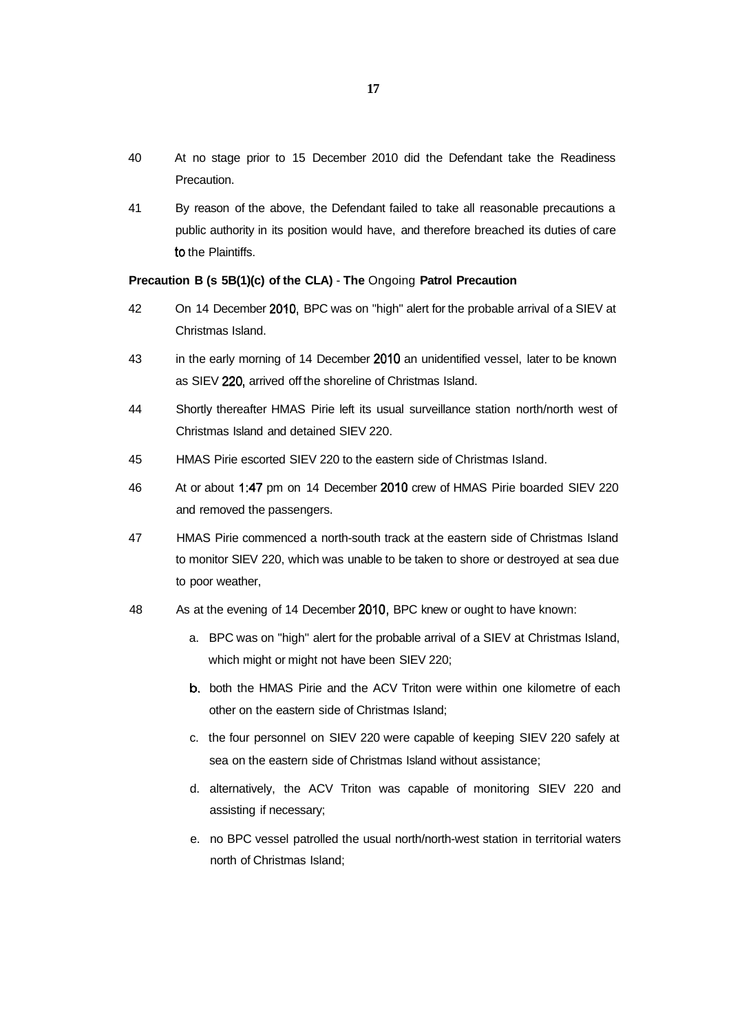- 40 At no stage prior to 15 December 2010 did the Defendant take the Readiness Precaution.
- 41 By reason of the above, the Defendant failed to take all reasonable precautions a public authority in its position would have, and therefore breached its duties of care to the Plaintiffs.

# **Precaution B (s 5B(1)(c) of the CLA)** - **The** Ongoing **Patrol Precaution**

- 42 On 14 December 2010, BPC was on "high" alert for the probable arrival of a SIEV at Christmas Island.
- 43 in the early morning of 14 December 2010 an unidentified vessel, later to be known as SIEV 220, arrived off the shoreline of Christmas Island.
- 44 Shortly thereafter HMAS Pirie left its usual surveillance station north/north west of Christmas Island and detained SIEV 220.
- 45 HMAS Pirie escorted SIEV 220 to the eastern side of Christmas Island.
- 46 At or about 1:47 pm on 14 December 2010 crew of HMAS Pirie boarded SIEV 220 and removed the passengers.
- 47 HMAS Pirie commenced a north-south track at the eastern side of Christmas Island to monitor SIEV 220, which was unable to be taken to shore or destroyed at sea due to poor weather,
- 48 As at the evening of 14 December 2010, BPC knew or ought to have known:
	- a. BPC was on "high" alert for the probable arrival of a SIEV at Christmas Island, which might or might not have been SIEV 220;
	- b. both the HMAS Pirie and the ACV Triton were within one kilometre of each other on the eastern side of Christmas Island;
	- c. the four personnel on SIEV 220 were capable of keeping SIEV 220 safely at sea on the eastern side of Christmas Island without assistance;
	- d. alternatively, the ACV Triton was capable of monitoring SIEV 220 and assisting if necessary;
	- e. no BPC vessel patrolled the usual north/north-west station in territorial waters north of Christmas Island;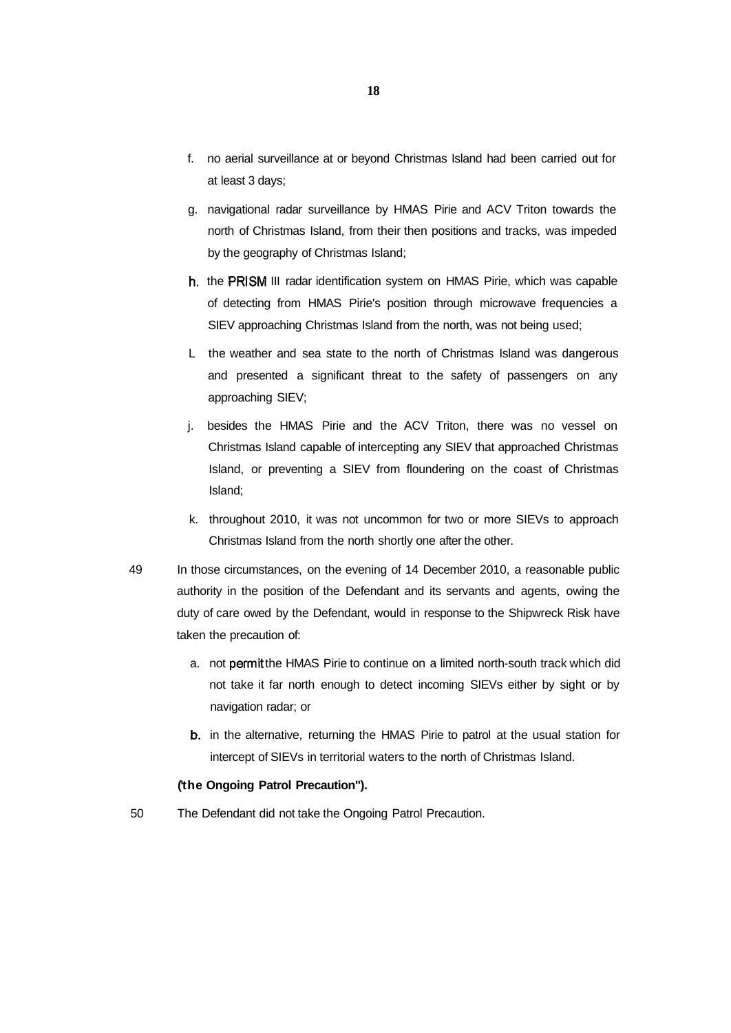- f. no aerial surveillance at or beyond Christmas Island had been carried out for at least 3 days;
- g. navigational radar surveillance by HMAS Pirie and ACV Triton towards the north of Christmas Island, from their then positions and tracks, was impeded by the geography of Christmas Island;
- h. the PRISM III radar identification system on HMAS Pirie, which was capable of detecting from HMAS Pirie's position through microwave frequencies a SIEV approaching Christmas Island from the north, was not being used;
- L the weather and sea state to the north of Christmas Island was dangerous and presented a significant threat to the safety of passengers on any approaching SIEV;
- j. besides the HMAS Pirie and the ACV Triton, there was no vessel on Christmas Island capable of intercepting any SIEV that approached Christmas Island, or preventing a SIEV from floundering on the coast of Christmas Island;
- k. throughout 2010, it was not uncommon for two or more SIEVs to approach Christmas Island from the north shortly one after the other.
- 49 In those circumstances, on the evening of 14 December 2010, a reasonable public authority in the position of the Defendant and its servants and agents, owing the duty of care owed by the Defendant, would in response to the Shipwreck Risk have taken the precaution of:
	- a. not permit the HMAS Pirie to continue on a limited north-south track which did not take it far north enough to detect incoming SIEVs either by sight or by navigation radar; or
	- b. in the alternative, returning the HMAS Pirie to patrol at the usual station for intercept of SIEVs in territorial waters to the north of Christmas Island.

## **(the Ongoing Patrol Precaution").**

50 The Defendant did not take the Ongoing Patrol Precaution.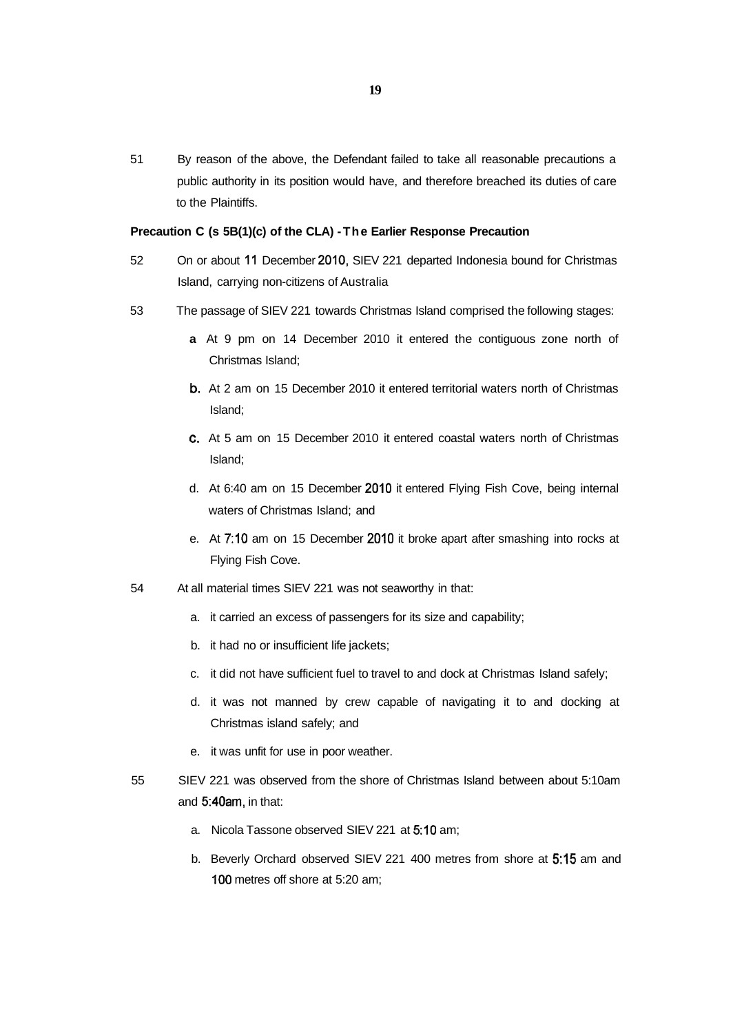51 By reason of the above, the Defendant failed to take all reasonable precautions a public authority in its position would have, and therefore breached its duties of care to the Plaintiffs.

# **Precaution C (s 5B(1)(c) of the CLA) -The Earlier Response Precaution**

- 52 On or about 11 December 2010, SIEV 221 departed Indonesia bound for Christmas Island, carrying non-citizens of Australia
- 53 The passage of SIEV 221 towards Christmas Island comprised the following stages:
	- **a** At 9 pm on 14 December 2010 it entered the contiguous zone north of Christmas Island;
	- b. At 2 am on 15 December 2010 it entered territorial waters north of Christmas Island;
	- c. At 5 am on 15 December 2010 it entered coastal waters north of Christmas Island;
	- d. At 6:40 am on 15 December 2010 it entered Flying Fish Cove, being internal waters of Christmas Island; and
	- e. At 7:10 am on 15 December 2010 it broke apart after smashing into rocks at Flying Fish Cove.
- 54 At all material times SIEV 221 was not seaworthy in that:
	- a. it carried an excess of passengers for its size and capability;
	- b. it had no or insufficient life jackets;
	- c. it did not have sufficient fuel to travel to and dock at Christmas Island safely;
	- d. it was not manned by crew capable of navigating it to and docking at Christmas island safely; and
	- e. it was unfit for use in poor weather.
- 55 SIEV 221 was observed from the shore of Christmas Island between about 5:10am and 5:40am, in that:
	- a. Nicola Tassone observed SIEV 221 at 5:10 am;
	- b. Beverly Orchard observed SIEV 221 400 metres from shore at 5:15 am and 100 metres off shore at 5:20 am;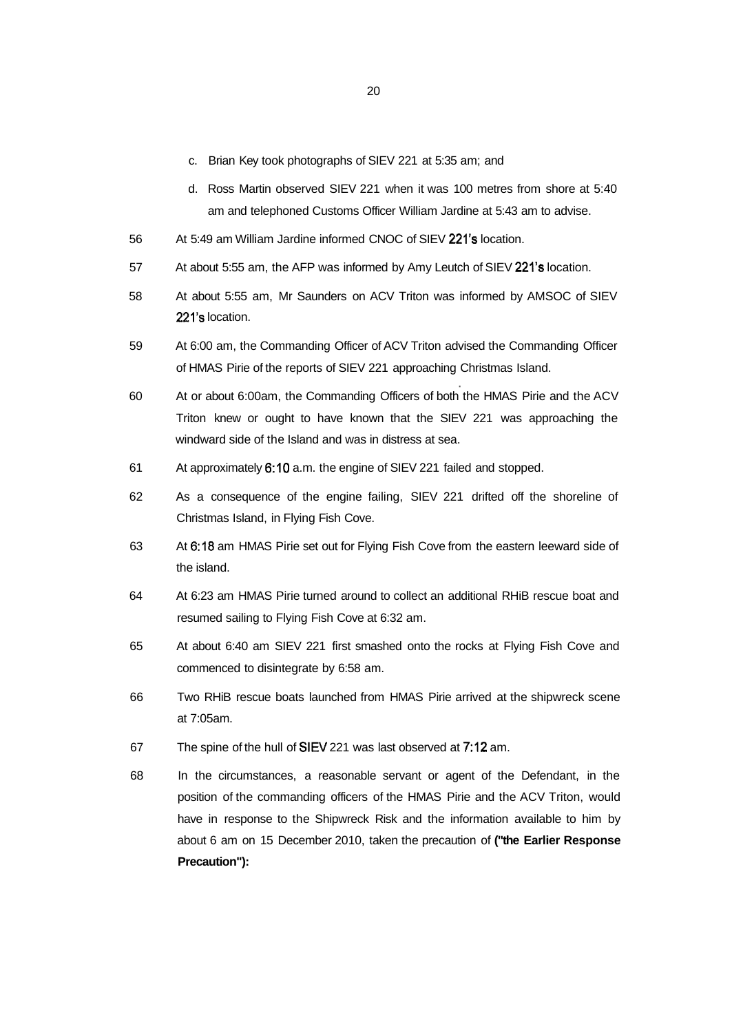- c. Brian Key took photographs of SIEV 221 at 5:35 am; and
- d. Ross Martin observed SIEV 221 when it was 100 metres from shore at 5:40 am and telephoned Customs Officer William Jardine at 5:43 am to advise.
- 56 At 5:49 am William Jardine informed CNOC of SIEV 221's location.
- 57 At about 5:55 am, the AFP was informed by Amy Leutch of SIEV 221's location.
- 58 At about 5:55 am, Mr Saunders on ACV Triton was informed by AMSOC of SIEV 221's location.
- 59 At 6:00 am, the Commanding Officer of ACV Triton advised the Commanding Officer of HMAS Pirie of the reports of SIEV 221 approaching Christmas Island.
- 60 At or about 6:00am, the Commanding Officers of both the HMAS Pirie and the ACV Triton knew or ought to have known that the SIEV 221 was approaching the windward side of the Island and was in distress at sea.
- 61 At approximately 6:10 a.m. the engine of SIEV 221 failed and stopped.
- 62 As a consequence of the engine failing, SIEV 221 drifted off the shoreline of Christmas Island, in Flying Fish Cove.
- 63 At 6:18 am HMAS Pirie set out for Flying Fish Cove from the eastern leeward side of the island.
- 64 At 6:23 am HMAS Pirie turned around to collect an additional RHiB rescue boat and resumed sailing to Flying Fish Cove at 6:32 am.
- 65 At about 6:40 am SIEV 221 first smashed onto the rocks at Flying Fish Cove and commenced to disintegrate by 6:58 am.
- 66 Two RHiB rescue boats launched from HMAS Pirie arrived at the shipwreck scene at 7:05am.
- 67 The spine of the hull of SIEV 221 was last observed at 7:12 am.
- 68 In the circumstances, a reasonable servant or agent of the Defendant, in the position of the commanding officers of the HMAS Pirie and the ACV Triton, would have in response to the Shipwreck Risk and the information available to him by about 6 am on 15 December 2010, taken the precaution of **("the Earlier Response Precaution"):**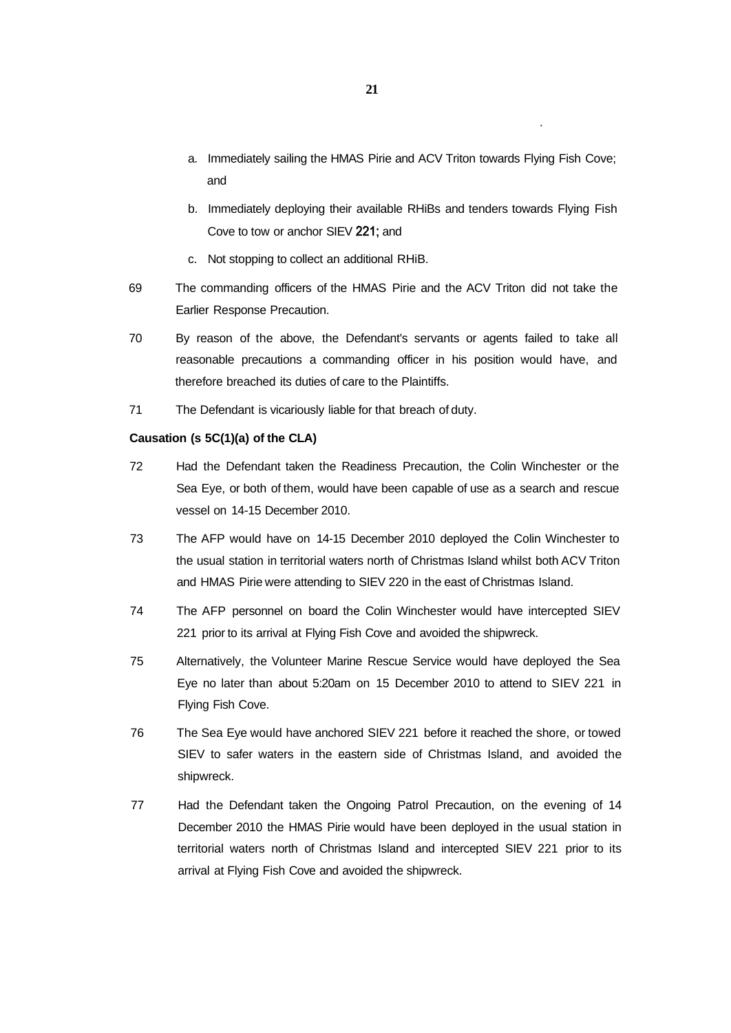- a. Immediately sailing the HMAS Pirie and ACV Triton towards Flying Fish Cove; and
- b. Immediately deploying their available RHiBs and tenders towards Flying Fish Cove to tow or anchor SIEV 221; and
- c. Not stopping to collect an additional RHiB.
- 69 The commanding officers of the HMAS Pirie and the ACV Triton did not take the Earlier Response Precaution.
- 70 By reason of the above, the Defendant's servants or agents failed to take all reasonable precautions a commanding officer in his position would have, and therefore breached its duties of care to the Plaintiffs.
- 71 The Defendant is vicariously liable for that breach of duty.

# **Causation (s 5C(1)(a) of the CLA)**

- 72 Had the Defendant taken the Readiness Precaution, the Colin Winchester or the Sea Eye, or both of them, would have been capable of use as a search and rescue vessel on 14-15 December 2010.
- 73 The AFP would have on 14-15 December 2010 deployed the Colin Winchester to the usual station in territorial waters north of Christmas Island whilst both ACV Triton and HMAS Pirie were attending to SIEV 220 in the east of Christmas Island.
- 74 The AFP personnel on board the Colin Winchester would have intercepted SIEV 221 prior to its arrival at Flying Fish Cove and avoided the shipwreck.
- 75 Alternatively, the Volunteer Marine Rescue Service would have deployed the Sea Eye no later than about 5:20am on 15 December 2010 to attend to SIEV 221 in Flying Fish Cove.
- 76 The Sea Eye would have anchored SIEV 221 before it reached the shore, or towed SIEV to safer waters in the eastern side of Christmas Island, and avoided the shipwreck.
- 77 Had the Defendant taken the Ongoing Patrol Precaution, on the evening of 14 December 2010 the HMAS Pirie would have been deployed in the usual station in territorial waters north of Christmas Island and intercepted SIEV 221 prior to its arrival at Flying Fish Cove and avoided the shipwreck.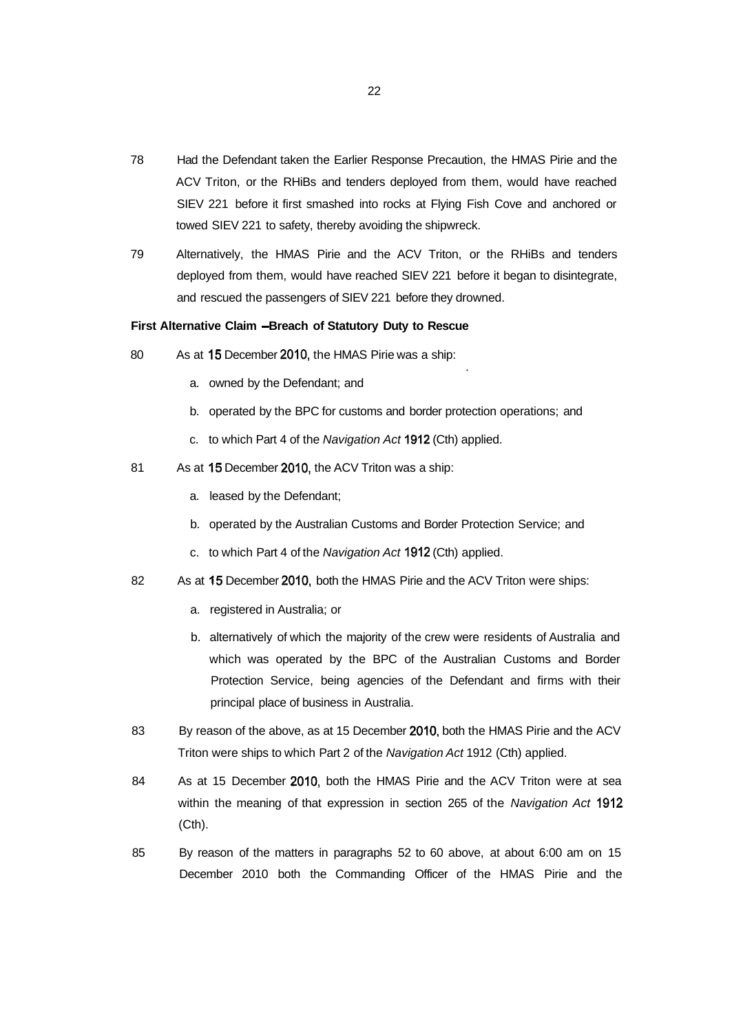- 78 Had the Defendant taken the Earlier Response Precaution, the HMAS Pirie and the ACV Triton, or the RHiBs and tenders deployed from them, would have reached SIEV 221 before it first smashed into rocks at Flying Fish Cove and anchored or towed SIEV 221 to safety, thereby avoiding the shipwreck.
- 79 Alternatively, the HMAS Pirie and the ACV Triton, or the RHiBs and tenders deployed from them, would have reached SIEV 221 before it began to disintegrate, and rescued the passengers of SIEV 221 before they drowned.

# First Alternative Claim - Breach of Statutory Duty to Rescue

- 80 As at 15 December 2010, the HMAS Pirie was a ship:
	- a. owned by the Defendant; and
	- b. operated by the BPC for customs and border protection operations; and
	- c. to which Part 4 of the Navigation Act 1912 (Cth) applied.
- 81 As at 15 December 2010, the ACV Triton was a ship:
	- a. leased by the Defendant;
	- b. operated by the Australian Customs and Border Protection Service; and
	- c. to which Part 4 of the Navigation Act 1912 (Cth) applied.
- 82 As at 15 December 2010, both the HMAS Pirie and the ACV Triton were ships:
	- a. registered in Australia; or
	- b. alternatively of which the majority of the crew were residents of Australia and which was operated by the BPC of the Australian Customs and Border Protection Service, being agencies of the Defendant and firms with their principal place of business in Australia.
- 83 By reason of the above, as at 15 December 2010, both the HMAS Pirie and the ACV Triton were ships to which Part 2 of the Navigation Act 1912 (Cth) applied.
- 84 As at 15 December 2010, both the HMAS Pirie and the ACV Triton were at sea within the meaning of that expression in section 265 of the Navigation Act 1912 (Cth).
- 85 By reason of the matters in paragraphs 52 to 60 above, at about 6:00 am on 15 December 2010 both the Commanding Officer of the HMAS Pirie and the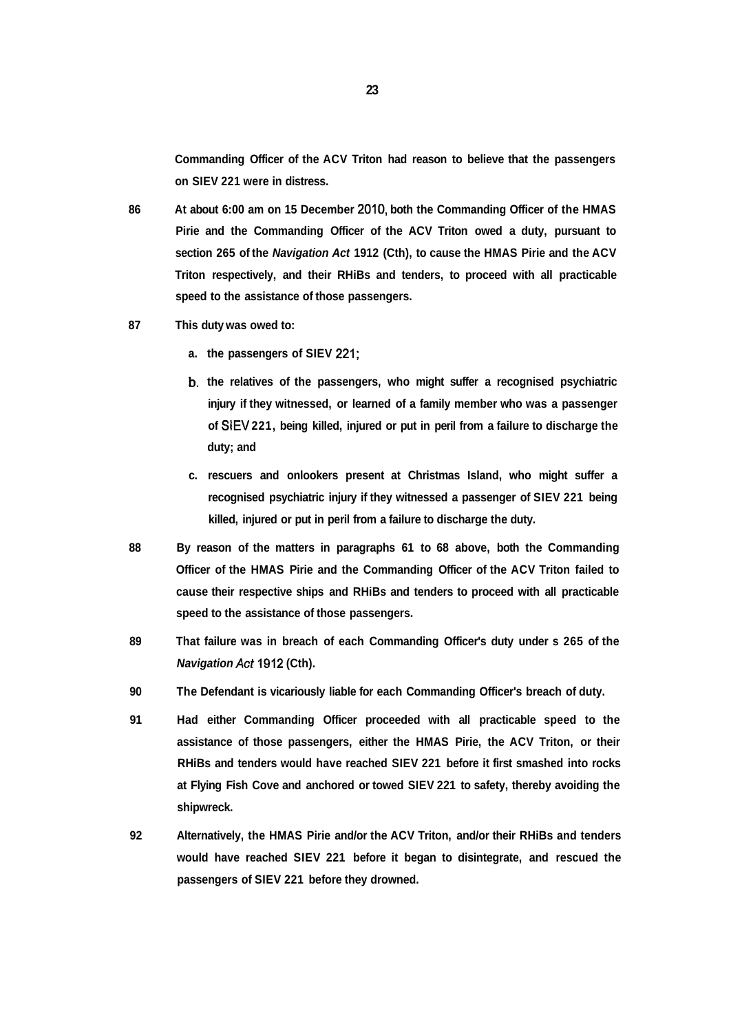**Commanding Officer of the ACV Triton had reason to believe that the passengers on SIEV 221 were in distress.** 

- **86 At about 6:00 am on 15 December 2010, both the Commanding Officer of the HMAS Pirie and the Commanding Officer of the ACV Triton owed a duty, pursuant to section 265 of the Navigation Act 1912 (Cth), to cause the HMAS Pirie and the ACV Triton respectively, and their RHiBs and tenders, to proceed with all practicable speed to the assistance of those passengers.**
- **87 This duty was owed to:** 
	- **a. the passengers of SIEV 221;**
	- **b. the relatives of the passengers, who might suffer a recognised psychiatric injury if they witnessed, or learned of a family member who was a passenger of SIEV 221, being killed, injured or put in peril from a failure to discharge the duty; and**
	- **c. rescuers and onlookers present at Christmas Island, who might suffer a recognised psychiatric injury if they witnessed a passenger of SIEV 221 being killed, injured or put in peril from a failure to discharge the duty.**
- **88 By reason of the matters in paragraphs 61 to 68 above, both the Commanding Officer of the HMAS Pirie and the Commanding Officer of the ACV Triton failed to cause their respective ships and RHiBs and tenders to proceed with all practicable speed to the assistance of those passengers.**
- **89 That failure was in breach of each Commanding Officer's duty under s 265 of the Navigation Act 1912 (Cth).**
- **90 The Defendant is vicariously liable for each Commanding Officer's breach of duty.**
- **91 Had either Commanding Officer proceeded with all practicable speed to the assistance of those passengers, either the HMAS Pirie, the ACV Triton, or their RHiBs and tenders would have reached SIEV 221 before it first smashed into rocks at Flying Fish Cove and anchored or towed SIEV 221 to safety, thereby avoiding the shipwreck.**
- **92 Alternatively, the HMAS Pirie and/or the ACV Triton, and/or their RHiBs and tenders would have reached SIEV 221 before it began to disintegrate, and rescued the passengers of SIEV 221 before they drowned.**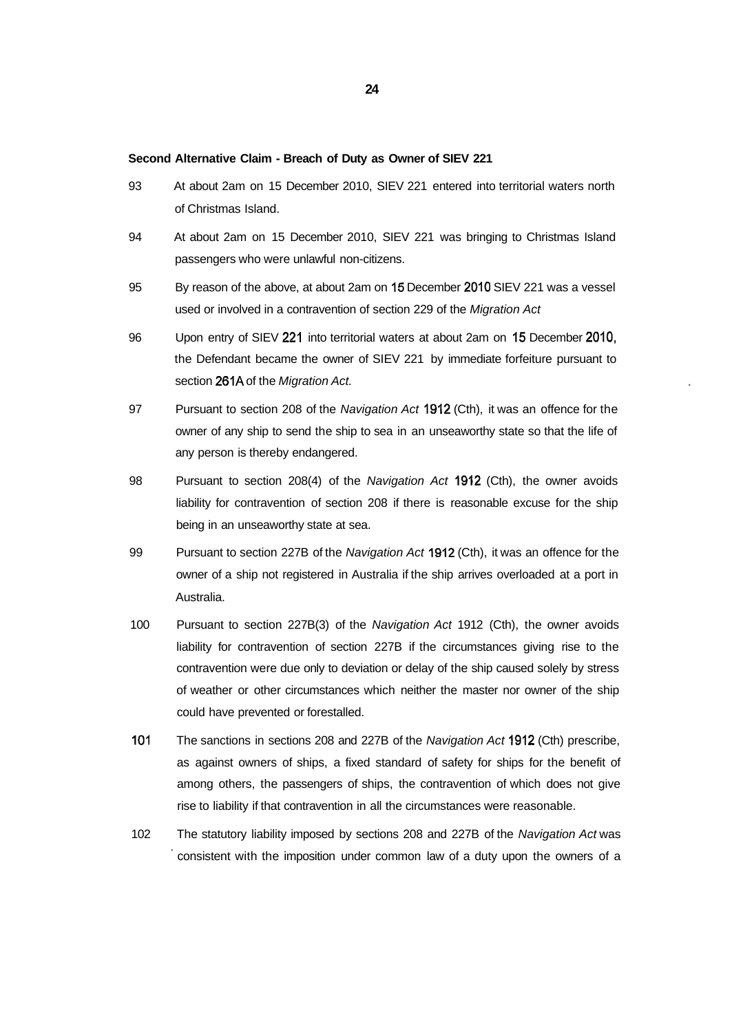#### **Second Alternative Claim - Breach of Duty as Owner of SIEV 221**

- 93 At about 2am on 15 December 2010, SIEV 221 entered into territorial waters north of Christmas Island.
- 94 At about 2am on 15 December 2010, SIEV 221 was bringing to Christmas Island passengers who were unlawful non-citizens.
- 95 By reason of the above, at about 2am on 15 December 2010 SIEV 221 was a vessel used or involved in a contravention of section 229 of the Migration Act
- 96 Upon entry of SIEV 221 into territorial waters at about 2am on 15 December 2010, the Defendant became the owner of SIEV 221 by immediate forfeiture pursuant to section 261A of the Migration Act.
- 97 Pursuant to section 208 of the Navigation Act 1912 (Cth), it was an offence for the owner of any ship to send the ship to sea in an unseaworthy state so that the life of any person is thereby endangered.
- 98 Pursuant to section 208(4) of the Navigation Act 1912 (Cth), the owner avoids liability for contravention of section 208 if there is reasonable excuse for the ship being in an unseaworthy state at sea.
- 99 Pursuant to section 227B of the Navigation Act 1912 (Cth), it was an offence for the owner of a ship not registered in Australia if the ship arrives overloaded at a port in Australia.
- 100 Pursuant to section 227B(3) of the Navigation Act 1912 (Cth), the owner avoids liability for contravention of section 227B if the circumstances giving rise to the contravention were due only to deviation or delay of the ship caused solely by stress of weather or other circumstances which neither the master nor owner of the ship could have prevented or forestalled.
- 101 The sanctions in sections 208 and 227B of the Navigation Act 1912 (Cth) prescribe, as against owners of ships, a fixed standard of safety for ships for the benefit of among others, the passengers of ships, the contravention of which does not give rise to liability if that contravention in all the circumstances were reasonable.
- 102 The statutory liability imposed by sections 208 and 227B of the Navigation Act was consistent with the imposition under common law of a duty upon the owners of a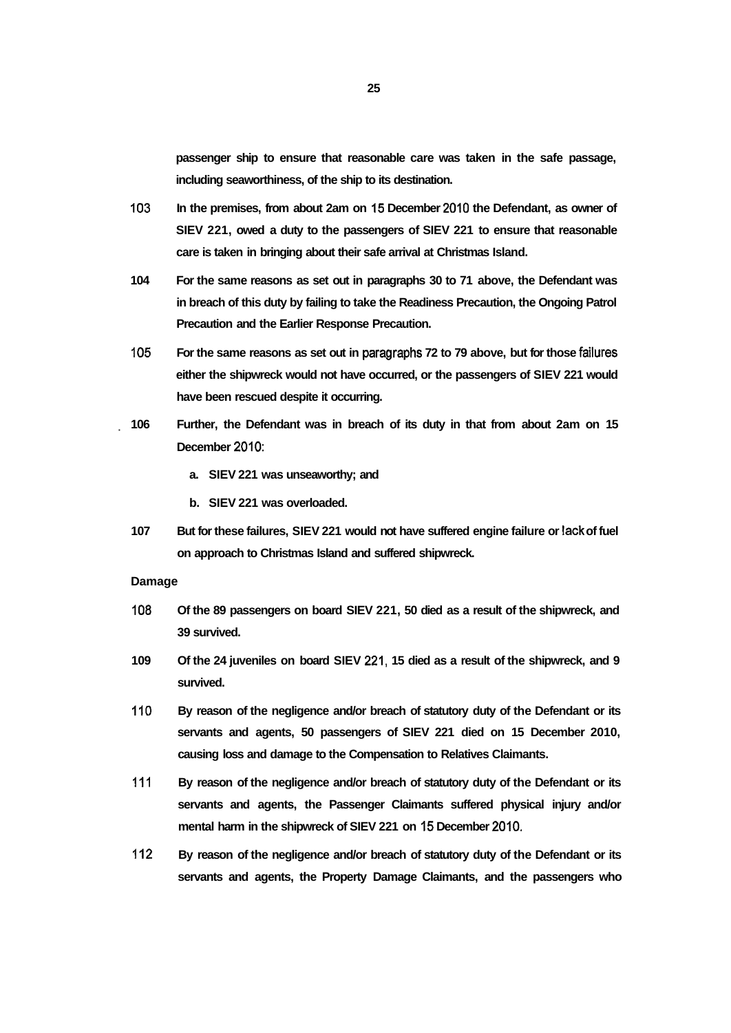**passenger ship to ensure that reasonable care was taken in the safe passage, including seaworthiness, of the ship to its destination.** 

- **103 In the premises, from about 2am on 15 December 2010 the Defendant, as owner of SIEV 221, owed a duty to the passengers of SIEV 221 to ensure that reasonable care is taken in bringing about their safe arrival at Christmas Island.**
- **104 For the same reasons as set out in paragraphs 30 to 71 above, the Defendant was in breach of this duty by failing to take the Readiness Precaution, the Ongoing Patrol Precaution and the Earlier Response Precaution.**
- **105 For the same reasons as set out in paragraphs 72 to 79 above, but for those failures either the shipwreck would not have occurred, or the passengers of SIEV 221 would have been rescued despite it occurring.**
- **106 Further, the Defendant was in breach of its duty in that from about 2am on 15 December 2010:** 
	- **a. SIEV 221 was unseaworthy; and**
	- **b. SIEV 221 was overloaded.**
	- **107 But for these failures, SIEV 221 would not have suffered engine failure or lack of fuel on approach to Christmas Island and suffered shipwreck.**

#### **Damage**

- **108 Of the 89 passengers on board SIEV 221, 50 died as a result of the shipwreck, and 39 survived.**
- **109 Of the 24 juveniles on board SIEV 221, 15 died as a result of the shipwreck, and 9 survived.**
- **110 By reason of the negligence and/or breach of statutory duty of the Defendant or its servants and agents, 50 passengers of SIEV 221 died on 15 December 2010, causing loss and damage to the Compensation to Relatives Claimants.**
- **111 By reason of the negligence and/or breach of statutory duty of the Defendant or its servants and agents, the Passenger Claimants suffered physical injury and/or mental harm in the shipwreck of SIEV 221 on 15 December 2010.**
- **112 By reason of the negligence and/or breach of statutory duty of the Defendant or its servants and agents, the Property Damage Claimants, and the passengers who**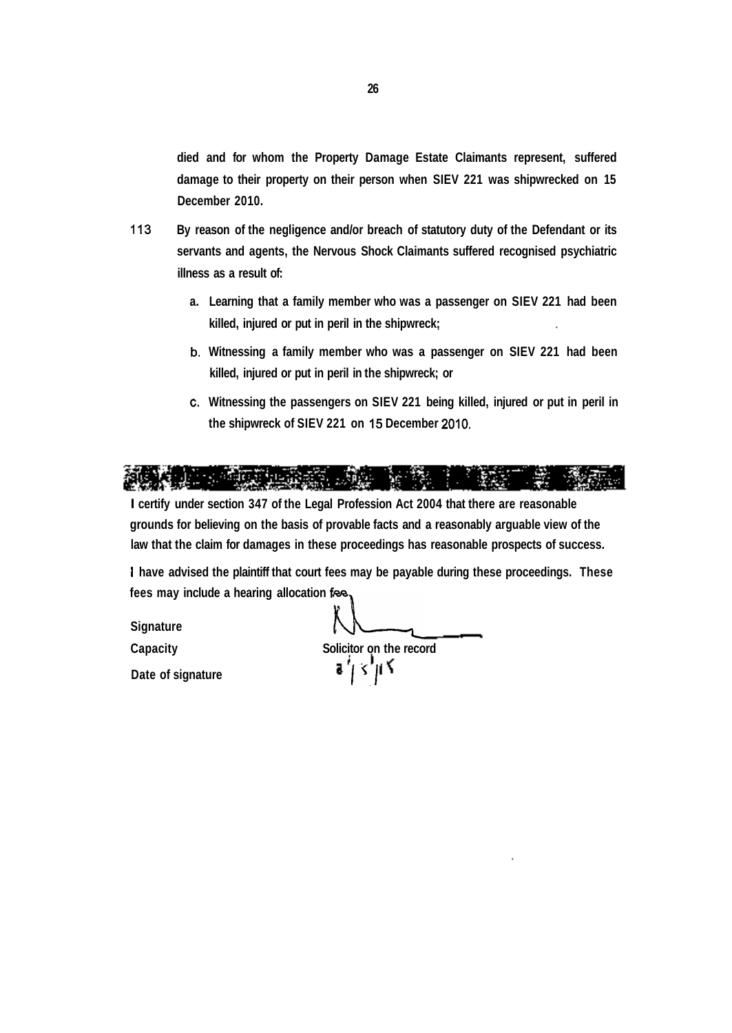**died and for whom the Property Damage Estate Claimants represent, suffered damage to their property on their person when SIEV 221 was shipwrecked on 15 December 2010.** 

- **113 By reason of the negligence and/or breach of statutory duty of the Defendant or its servants and agents, the Nervous Shock Claimants suffered recognised psychiatric illness as a result of:** 
	- **a. Learning that a family member who was a passenger on SIEV 221 had been killed, injured or put in peril in the shipwreck;**
	- **b. Witnessing a family member who was a passenger on SIEV 221 had been killed, injured or put in peril in the shipwreck; or**
	- **c. Witnessing the passengers on SIEV 221 being killed, injured or put in peril in the shipwreck of SIEV 221 on 15 December 2010.**



**I certify under section 347 of the Legal Profession Act 2004 that there are reasonable grounds for believing on the basis of provable facts and a reasonably arguable view of the law that the claim for damages in these proceedings has reasonable prospects of success.** 

**I have advised the plaintiff that court fees may be payable during these proceedings. These fees may include a hearing allocation fee.** 

**Signature AL\_\_\_, Capacity Solicitor on the record**  Date of signature **II a**  $\int_0^1$  **s**  $\int_0^1$  **S**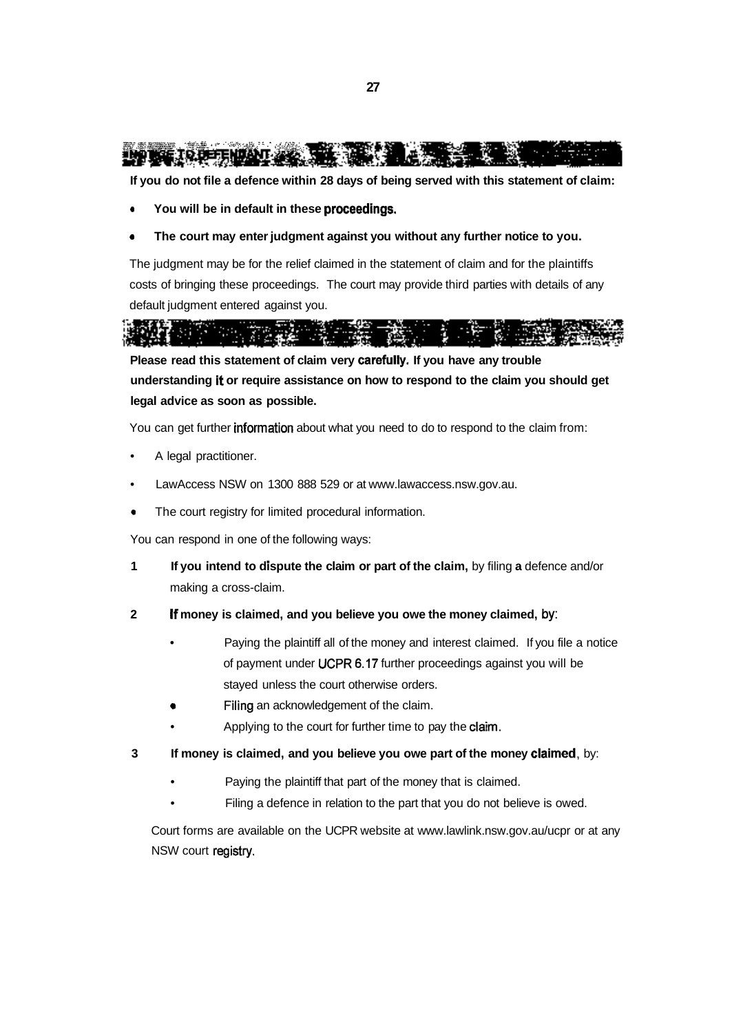

**If you do not file a defence within 28 days of being served with this statement of claim:** 

- **You will be in default in these proceedings.**
- **The court may enter judgment against you without any further notice to you.**

The judgment may be for the relief claimed in the statement of claim and for the plaintiffs costs of bringing these proceedings. The court may provide third parties with details of any default judgment entered against you.



**Please read this statement of claim very carefully. If you have any trouble understanding it or require assistance on how to respond to the claim you should get legal advice as soon as possible.** 

You can get further information about what you need to do to respond to the claim from:

- A legal practitioner.
- LawAccess NSW on 1300 888 529 or at [www.lawaccess.nsw.gov.au.](http://www.lawaccess.nsw.gov.au)
- The court registry for limited procedural information.

You can respond in one of the following ways:

- **1 If you intend to dispute the claim or part of the claim,** by filing **a** defence and/or making a cross-claim.
- **2 If money is claimed, and you believe you owe the money claimed,** by:
	- Paying the plaintiff all of the money and interest claimed. If you file a notice of payment under UCPR 6.17 further proceedings against you will be stayed unless the court otherwise orders.
	- Filing an acknowledgement of the claim.
	- Applying to the court for further time to pay the claim.
- **3 If money is claimed, and you believe you owe part of the money claimed,** by:
	- Paying the plaintiff that part of the money that is claimed.
	- Filing a defence in relation to the part that you do not believe is owed.

Court forms are available on the UCPR website at [www.lawlink.nsw.gov.au/ucpr](http://www.lawlink.nsw.gov.au/ucpr) or at any NSW court registry.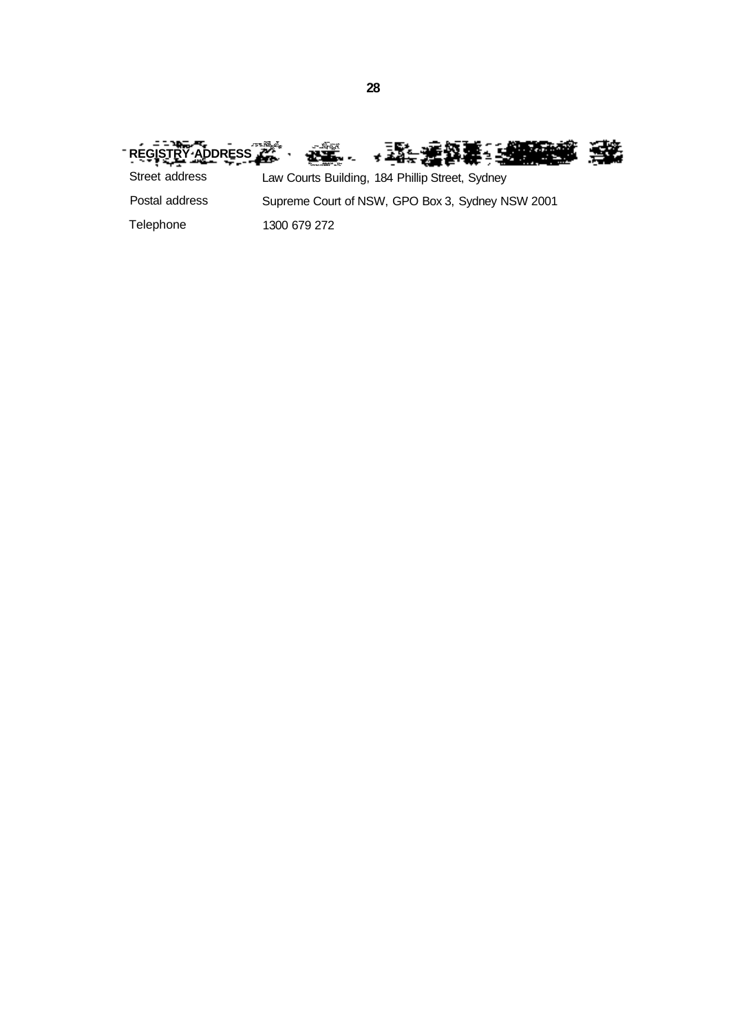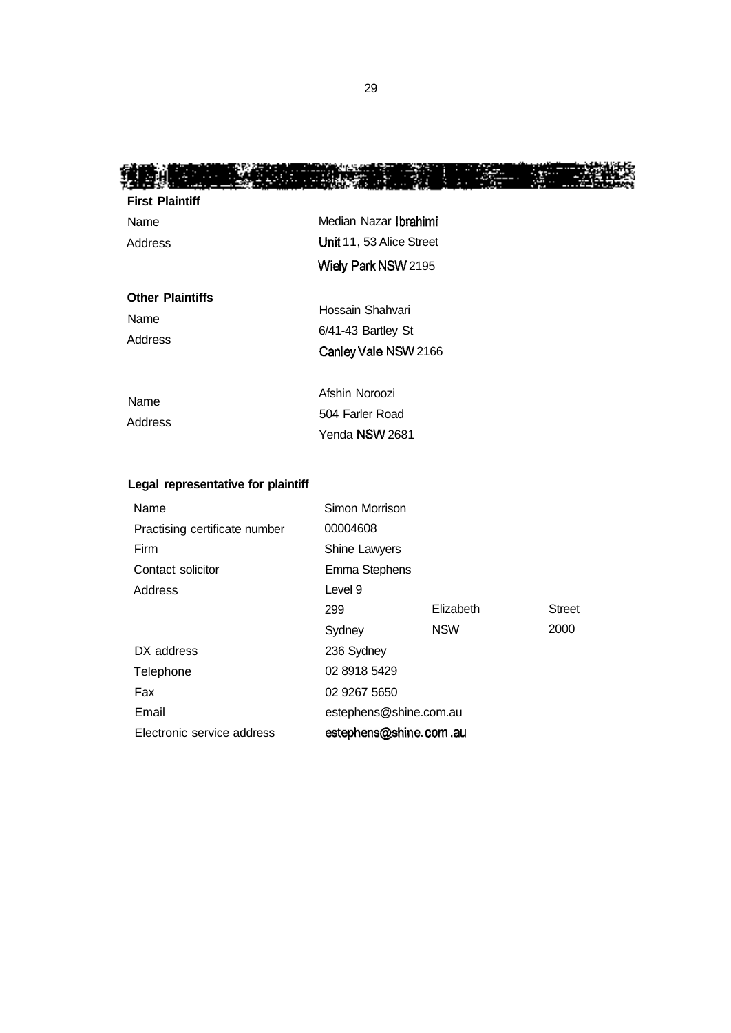12

鑴

| <b>First Plaintiff</b>  |                                                   |                |  |
|-------------------------|---------------------------------------------------|----------------|--|
| Name                    | Median Nazar Ibrahimi<br>Unit 11, 53 Alice Street |                |  |
| Address                 |                                                   |                |  |
|                         | Wiely Park NSW 2195                               |                |  |
| <b>Other Plaintiffs</b> |                                                   |                |  |
| Name<br>Address         | Hossain Shahvari<br>$6/41-43$ Bartley St          |                |  |
|                         |                                                   |                |  |
|                         | Name                                              | Afshin Noroozi |  |
| Address                 | 504 Farler Road                                   |                |  |
|                         | Yenda NSW 2681                                    |                |  |

# **Legal representative for plaintiff**

| Name                          | Simon Morrison         |            |               |
|-------------------------------|------------------------|------------|---------------|
| Practising certificate number | 00004608               |            |               |
| Firm                          | Shine Lawyers          |            |               |
| Contact solicitor             | Emma Stephens          |            |               |
| Address                       | Level 9                |            |               |
|                               | 299                    | Elizabeth  | <b>Street</b> |
|                               | Sydney                 | <b>NSW</b> | 2000          |
| DX address                    | 236 Sydney             |            |               |
| Telephone                     | 02 8918 5429           |            |               |
| Fax                           | 02 9267 5650           |            |               |
| Email                         | estephens@shine.com.au |            |               |
| Electronic service address    | estephens@shine.com.au |            |               |

Ŀ.